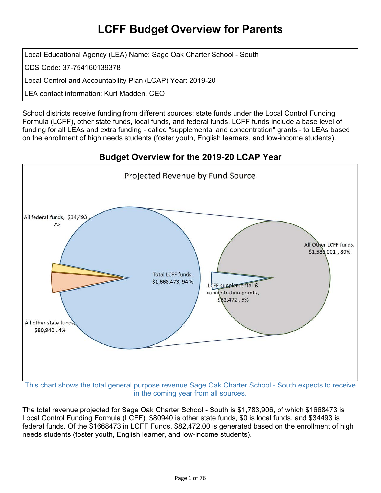# **LCFF Budget Overview for Parents**

Local Educational Agency (LEA) Name: Sage Oak Charter School - South

CDS Code: 37-754160139378

Local Control and Accountability Plan (LCAP) Year: 2019-20

LEA contact information: Kurt Madden, CEO

School districts receive funding from different sources: state funds under the Local Control Funding Formula (LCFF), other state funds, local funds, and federal funds. LCFF funds include a base level of funding for all LEAs and extra funding - called "supplemental and concentration" grants - to LEAs based on the enrollment of high needs students (foster youth, English learners, and low-income students).

### **Budget Overview for the 2019-20 LCAP Year**



in the coming year from all sources.

The total revenue projected for Sage Oak Charter School - South is \$1,783,906, of which \$1668473 is Local Control Funding Formula (LCFF), \$80940 is other state funds, \$0 is local funds, and \$34493 is federal funds. Of the \$1668473 in LCFF Funds, \$82,472.00 is generated based on the enrollment of high needs students (foster youth, English learner, and low-income students).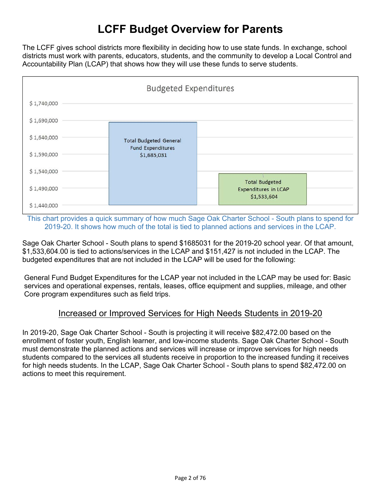# **LCFF Budget Overview for Parents**

The LCFF gives school districts more flexibility in deciding how to use state funds. In exchange, school districts must work with parents, educators, students, and the community to develop a Local Control and Accountability Plan (LCAP) that shows how they will use these funds to serve students.



This chart provides a quick summary of how much Sage Oak Charter School - South plans to spend for 2019-20. It shows how much of the total is tied to planned actions and services in the LCAP.

Sage Oak Charter School - South plans to spend \$1685031 for the 2019-20 school year. Of that amount, \$1,533,604.00 is tied to actions/services in the LCAP and \$151,427 is not included in the LCAP. The budgeted expenditures that are not included in the LCAP will be used for the following:

General Fund Budget Expenditures for the LCAP year not included in the LCAP may be used for: Basic services and operational expenses, rentals, leases, office equipment and supplies, mileage, and other Core program expenditures such as field trips.

#### Increased or Improved Services for High Needs Students in 2019-20

In 2019-20, Sage Oak Charter School - South is projecting it will receive \$82,472.00 based on the enrollment of foster youth, English learner, and low-income students. Sage Oak Charter School - South must demonstrate the planned actions and services will increase or improve services for high needs students compared to the services all students receive in proportion to the increased funding it receives for high needs students. In the LCAP, Sage Oak Charter School - South plans to spend \$82,472.00 on actions to meet this requirement.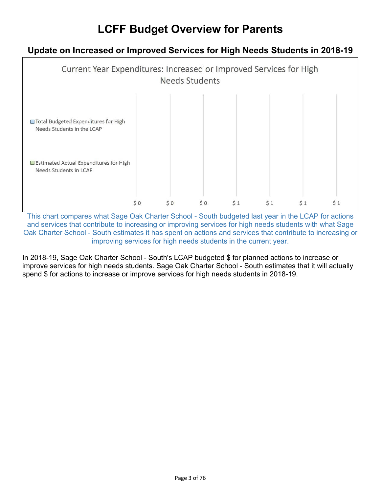# **LCFF Budget Overview for Parents**

### **Update on Increased or Improved Services for High Needs Students in 2018-19**



This chart compares what Sage Oak Charter School - South budgeted last year in the LCAP for actions and services that contribute to increasing or improving services for high needs students with what Sage Oak Charter School - South estimates it has spent on actions and services that contribute to increasing or improving services for high needs students in the current year.

In 2018-19, Sage Oak Charter School - South's LCAP budgeted \$ for planned actions to increase or improve services for high needs students. Sage Oak Charter School - South estimates that it will actually spend \$ for actions to increase or improve services for high needs students in 2018-19.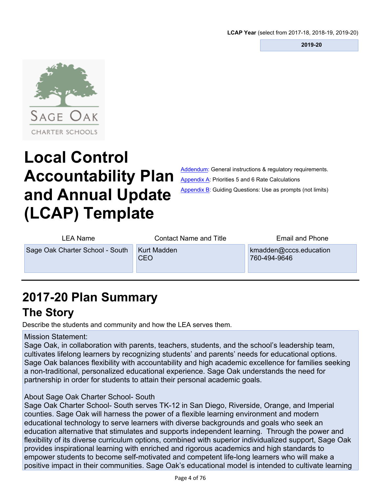**2019-20** 



# **Local Control Accountability Plan and Annual Update (LCAP) Template**

[Addendum:](#page-55-0) General instructions & requiatory requirements. [Appendix](#page-66-0) A: Priorities 5 and 6 Rate Calculations [Appendix](#page-68-0) B: Guiding Questions: Use as prompts (not limits)

| LEA Name                        | <b>Contact Name and Title</b>    | <b>Email and Phone</b>                 |
|---------------------------------|----------------------------------|----------------------------------------|
| Sage Oak Charter School - South | <b>Kurt Madden</b><br><b>CEO</b> | kmadden@cccs.education<br>760-494-9646 |

# **2017-20 Plan [Summary](#page-56-0)**

# **The Story**

Describe the students and community and how the LEA serves them.

#### Mission Statement:

Sage Oak, in collaboration with parents, teachers, students, and the school's leadership team, cultivates lifelong learners by recognizing students' and parents' needs for educational options. Sage Oak balances flexibility with accountability and high academic excellence for families seeking a non-traditional, personalized educational experience. Sage Oak understands the need for partnership in order for students to attain their personal academic goals.

#### About Sage Oak Charter School- South

Sage Oak Charter School- South serves TK-12 in San Diego, Riverside, Orange, and Imperial counties. Sage Oak will harness the power of a flexible learning environment and modern educational technology to serve learners with diverse backgrounds and goals who seek an education alternative that stimulates and supports independent learning. Through the power and flexibility of its diverse curriculum options, combined with superior individualized support, Sage Oak provides inspirational learning with enriched and rigorous academics and high standards to empower students to become self-motivated and competent life-long learners who will make a positive impact in their communities. Sage Oak's educational model is intended to cultivate learning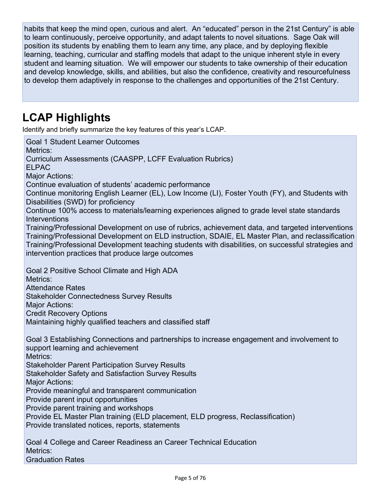habits that keep the mind open, curious and alert. An "educated" person in the 21st Century" is able to learn continuously, perceive opportunity, and adapt talents to novel situations. Sage Oak will position its students by enabling them to learn any time, any place, and by deploying flexible learning, teaching, curricular and staffing models that adapt to the unique inherent style in every student and learning situation. We will empower our students to take ownership of their education and develop knowledge, skills, and abilities, but also the confidence, creativity and resourcefulness to develop them adaptively in response to the challenges and opportunities of the 21st Century.

# **LCAP Highlights**

Metrics:

Graduation Rates

Identify and briefly summarize the key features of this year's LCAP.

Goal 1 Student Learner Outcomes Metrics: Curriculum Assessments (CAASPP, LCFF Evaluation Rubrics) ELPAC Major Actions: Continue evaluation of students' academic performance Continue monitoring English Learner (EL), Low Income (LI), Foster Youth (FY), and Students with Disabilities (SWD) for proficiency Continue 100% access to materials/learning experiences aligned to grade level state standards **Interventions** Training/Professional Development on use of rubrics, achievement data, and targeted interventions Training/Professional Development on ELD instruction, SDAIE, EL Master Plan, and reclassification Training/Professional Development teaching students with disabilities, on successful strategies and intervention practices that produce large outcomes Goal 2 Positive School Climate and High ADA Metrics: Attendance Rates Stakeholder Connectedness Survey Results Major Actions: Credit Recovery Options Maintaining highly qualified teachers and classified staff Goal 3 Establishing Connections and partnerships to increase engagement and involvement to support learning and achievement Metrics: Stakeholder Parent Participation Survey Results Stakeholder Safety and Satisfaction Survey Results Major Actions: Provide meaningful and transparent communication Provide parent input opportunities Provide parent training and workshops Provide EL Master Plan training (ELD placement, ELD progress, Reclassification) Provide translated notices, reports, statements Goal 4 College and Career Readiness an Career Technical Education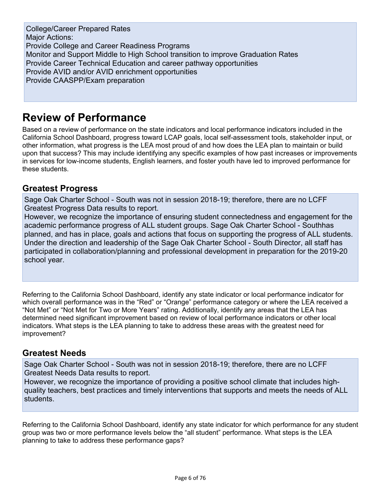College/Career Prepared Rates Major Actions: Provide College and Career Readiness Programs Monitor and Support Middle to High School transition to improve Graduation Rates Provide Career Technical Education and career pathway opportunities Provide AVID and/or AVID enrichment opportunities Provide CAASPP/Exam preparation

# **Review of Performance**

Based on a review of performance on the state indicators and local performance indicators included in the California School Dashboard, progress toward LCAP goals, local self-assessment tools, stakeholder input, or other information, what progress is the LEA most proud of and how does the LEA plan to maintain or build upon that success? This may include identifying any specific examples of how past increases or improvements in services for low-income students, English learners, and foster youth have led to improved performance for these students.

#### **Greatest Progress**

Sage Oak Charter School - South was not in session 2018-19; therefore, there are no LCFF Greatest Progress Data results to report.

However, we recognize the importance of ensuring student connectedness and engagement for the academic performance progress of ALL student groups. Sage Oak Charter School - Southhas planned, and has in place, goals and actions that focus on supporting the progress of ALL students. Under the direction and leadership of the Sage Oak Charter School - South Director, all staff has participated in collaboration/planning and professional development in preparation for the 2019-20 school year.

Referring to the California School Dashboard, identify any state indicator or local performance indicator for which overall performance was in the "Red" or "Orange" performance category or where the LEA received a "Not Met" or "Not Met for Two or More Years" rating. Additionally, identify any areas that the LEA has determined need significant improvement based on review of local performance indicators or other local indicators. What steps is the LEA planning to take to address these areas with the greatest need for improvement?

#### **Greatest Needs**

Sage Oak Charter School - South was not in session 2018-19; therefore, there are no LCFF Greatest Needs Data results to report.

However, we recognize the importance of providing a positive school climate that includes highquality teachers, best practices and timely interventions that supports and meets the needs of ALL students.

Referring to the California School Dashboard, identify any state indicator for which performance for any student group was two or more performance levels below the "all student" performance. What steps is the LEA planning to take to address these performance gaps?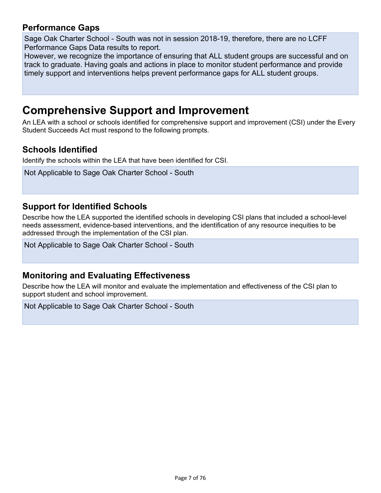#### **Performance Gaps**

Sage Oak Charter School - South was not in session 2018-19, therefore, there are no LCFF Performance Gaps Data results to report.

However, we recognize the importance of ensuring that ALL student groups are successful and on track to graduate. Having goals and actions in place to monitor student performance and provide timely support and interventions helps prevent performance gaps for ALL student groups.

# **[Comprehensive](#page-56-1) Support and Improvement**

An LEA with a school or schools identified for comprehensive support and improvement (CSI) under the Every Student Succeeds Act must respond to the following prompts.

#### **Schools Identified**

Identify the schools within the LEA that have been identified for CSI.

```
Not Applicable to Sage Oak Charter School - South
```
#### **Support for Identified Schools**

Describe how the LEA supported the identified schools in developing CSI plans that included a school-level needs assessment, evidence-based interventions, and the identification of any resource inequities to be addressed through the implementation of the CSI plan.

Not Applicable to Sage Oak Charter School - South

#### **Monitoring and Evaluating Effectiveness**

Describe how the LEA will monitor and evaluate the implementation and effectiveness of the CSI plan to support student and school improvement.

Not Applicable to Sage Oak Charter School - South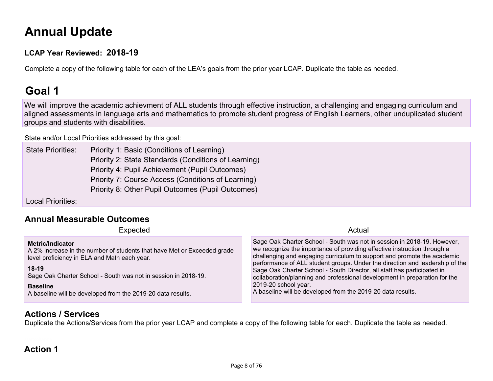# **Annual [Update](#page-57-0)**

#### **LCAP Year Reviewed: 2018-19**

Complete a copy of the following table for each of the LEA's goals from the prior year LCAP. Duplicate the table as needed.

# **Goal 1**

We will improve the academic achievment of ALL students through effective instruction, a challenging and engaging curriculum and aligned assessments in language arts and mathematics to promote student progress of English Learners, other unduplicated student groups and students with disabilities.

State and/or Local Priorities [addressed](#page-64-0) by this goal:

State Priorities: Priority 1: Basic (Conditions of Learning) Priority 2: State Standards (Conditions of Learning) Priority 4: Pupil Achievement (Pupil Outcomes) Priority 7: Course Access (Conditions of Learning) Priority 8: Other Pupil Outcomes (Pupil Outcomes)

Local Priorities:

#### **Annual [Measurable](#page-57-1) Outcomes**

| Expected                                                                                                                                                                                                                                                                                                   | Actual                                                                                                                                                                                                                                                                                                                                                                                                                                                                                                                                                         |
|------------------------------------------------------------------------------------------------------------------------------------------------------------------------------------------------------------------------------------------------------------------------------------------------------------|----------------------------------------------------------------------------------------------------------------------------------------------------------------------------------------------------------------------------------------------------------------------------------------------------------------------------------------------------------------------------------------------------------------------------------------------------------------------------------------------------------------------------------------------------------------|
| Metric/Indicator<br>A 2% increase in the number of students that have Met or Exceeded grade<br>level proficiency in ELA and Math each year.<br>$18-19$<br>Sage Oak Charter School - South was not in session in 2018-19.<br><b>Baseline</b><br>A baseline will be developed from the 2019-20 data results. | Sage Oak Charter School - South was not in session in 2018-19. However,<br>we recognize the importance of providing effective instruction through a<br>challenging and engaging curriculum to support and promote the academic<br>performance of ALL student groups. Under the direction and leadership of the<br>Sage Oak Charter School - South Director, all staff has participated in<br>collaboration/planning and professional development in preparation for the<br>2019-20 school year.<br>A baseline will be developed from the 2019-20 data results. |

#### **Actions / [Services](#page-57-2)**

Duplicate the Actions/Services from the prior year LCAP and complete a copy of the following table for each. Duplicate the table as needed.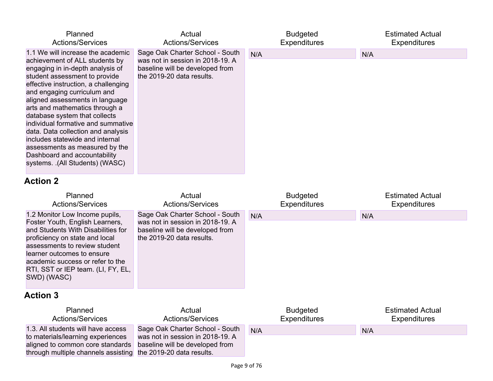| Planned<br><b>Actions/Services</b>                                                                                                                                                                                                                                                                                                                                                                                                                                                                                                        | Actual<br><b>Actions/Services</b>                                                                                                   | <b>Budgeted</b><br><b>Expenditures</b> | <b>Estimated Actual</b><br><b>Expenditures</b> |
|-------------------------------------------------------------------------------------------------------------------------------------------------------------------------------------------------------------------------------------------------------------------------------------------------------------------------------------------------------------------------------------------------------------------------------------------------------------------------------------------------------------------------------------------|-------------------------------------------------------------------------------------------------------------------------------------|----------------------------------------|------------------------------------------------|
| 1.1 We will increase the academic<br>achievement of ALL students by<br>engaging in in-depth analysis of<br>student assessment to provide<br>effective instruction, a challenging<br>and engaging curriculum and<br>aligned assessments in language<br>arts and mathematics through a<br>database system that collects<br>individual formative and summative<br>data. Data collection and analysis<br>includes statewide and internal<br>assessments as measured by the<br>Dashboard and accountability<br>systems. .(All Students) (WASC) | Sage Oak Charter School - South<br>was not in session in 2018-19. A<br>baseline will be developed from<br>the 2019-20 data results. | N/A                                    | N/A                                            |
| <b>Action 2</b>                                                                                                                                                                                                                                                                                                                                                                                                                                                                                                                           |                                                                                                                                     |                                        |                                                |

| Planned<br><b>Actions/Services</b>                                                                                                                                                                                                                                                                | Actual<br><b>Actions/Services</b>                                                                                                   | <b>Budgeted</b><br><b>Expenditures</b> | <b>Estimated Actual</b><br><b>Expenditures</b> |
|---------------------------------------------------------------------------------------------------------------------------------------------------------------------------------------------------------------------------------------------------------------------------------------------------|-------------------------------------------------------------------------------------------------------------------------------------|----------------------------------------|------------------------------------------------|
| 1.2 Monitor Low Income pupils,<br>Foster Youth, English Learners,<br>and Students With Disabilities for<br>proficiency on state and local<br>assessments to review student<br>learner outcomes to ensure<br>academic success or refer to the<br>RTI, SST or IEP team. (LI, FY, EL,<br>SWD) (WASC) | Sage Oak Charter School - South<br>was not in session in 2018-19. A<br>baseline will be developed from<br>the 2019-20 data results. | N/A                                    | N/A                                            |
| <b>Action 3</b>                                                                                                                                                                                                                                                                                   |                                                                                                                                     |                                        |                                                |
| Planned<br><b>Actions/Services</b>                                                                                                                                                                                                                                                                | Actual<br><b>Actions/Services</b>                                                                                                   | <b>Budgeted</b><br><b>Expenditures</b> | <b>Estimated Actual</b><br><b>Expenditures</b> |
| 1.3. All students will have access                                                                                                                                                                                                                                                                | Sage Oak Charter School - South                                                                                                     | N/A                                    | N/A                                            |
| to materials/learning experiences<br>aligned to common core standards<br>through multiple channels assisting                                                                                                                                                                                      | was not in session in 2018-19. A<br>baseline will be developed from<br>the 2019-20 data results.                                    |                                        |                                                |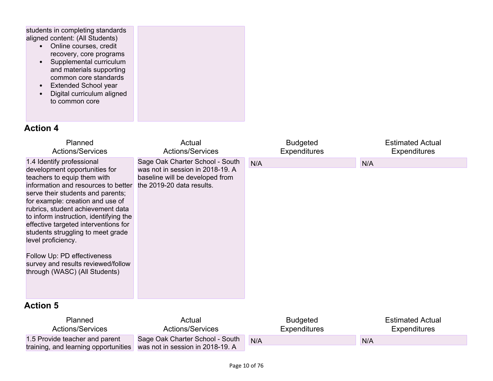students in completing standards aligned content: (All Students)

- Online courses, credit recovery, core programs
- Supplemental curriculum and materials supporting common core standards
- Extended School year
- Digital curriculum aligned to common core

| Planned<br><b>Actions/Services</b>                                                                                                                                                                                                                                                                                                                                                                                                                                                                | Actual<br><b>Actions/Services</b>                                                                                                   | <b>Budgeted</b><br><b>Expenditures</b> | <b>Estimated Actual</b><br><b>Expenditures</b> |
|---------------------------------------------------------------------------------------------------------------------------------------------------------------------------------------------------------------------------------------------------------------------------------------------------------------------------------------------------------------------------------------------------------------------------------------------------------------------------------------------------|-------------------------------------------------------------------------------------------------------------------------------------|----------------------------------------|------------------------------------------------|
| 1.4 Identify professional<br>development opportunities for<br>teachers to equip them with<br>information and resources to better<br>serve their students and parents;<br>for example: creation and use of<br>rubrics, student achievement data<br>to inform instruction, identifying the<br>effective targeted interventions for<br>students struggling to meet grade<br>level proficiency.<br>Follow Up: PD effectiveness<br>survey and results reviewed/follow<br>through (WASC) (All Students) | Sage Oak Charter School - South<br>was not in session in 2018-19. A<br>baseline will be developed from<br>the 2019-20 data results. | N/A                                    | N/A                                            |
| <b>Action 5</b>                                                                                                                                                                                                                                                                                                                                                                                                                                                                                   |                                                                                                                                     |                                        |                                                |
| Planned<br><b>Actions/Services</b>                                                                                                                                                                                                                                                                                                                                                                                                                                                                | Actual<br><b>Actions/Services</b>                                                                                                   | <b>Budgeted</b><br><b>Expenditures</b> | <b>Estimated Actual</b><br><b>Expenditures</b> |
| 1.5 Provide teacher and parent<br>training, and learning opportunities                                                                                                                                                                                                                                                                                                                                                                                                                            | Sage Oak Charter School - South<br>was not in session in 2018-19. A                                                                 | N/A                                    | N/A                                            |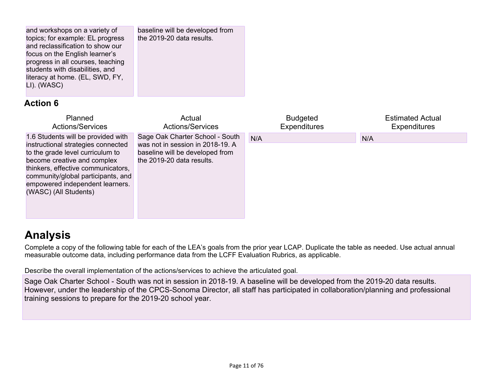| and workshops on a variety of<br>topics; for example: EL progress<br>and reclassification to show our<br>focus on the English learner's<br>progress in all courses, teaching<br>students with disabilities, and<br>literacy at home. (EL, SWD, FY,<br>LI). (WASC)                   | baseline will be developed from<br>the 2019-20 data results.                                                                        |                                        |                                                |
|-------------------------------------------------------------------------------------------------------------------------------------------------------------------------------------------------------------------------------------------------------------------------------------|-------------------------------------------------------------------------------------------------------------------------------------|----------------------------------------|------------------------------------------------|
| <b>Action 6</b>                                                                                                                                                                                                                                                                     |                                                                                                                                     |                                        |                                                |
| Planned<br><b>Actions/Services</b>                                                                                                                                                                                                                                                  | Actual<br><b>Actions/Services</b>                                                                                                   | <b>Budgeted</b><br><b>Expenditures</b> | <b>Estimated Actual</b><br><b>Expenditures</b> |
| 1.6 Students will be provided with<br>instructional strategies connected<br>to the grade level curriculum to<br>become creative and complex<br>thinkers, effective communicators,<br>community/global participants, and<br>empowered independent learners.<br>(WASC) (All Students) | Sage Oak Charter School - South<br>was not in session in 2018-19. A<br>baseline will be developed from<br>the 2019-20 data results. | N/A                                    | N/A                                            |

# **[Analysis](#page-57-3)**

Complete a copy of the following table for each of the LEA's goals from the prior year LCAP. Duplicate the table as needed. Use actual annual measurable outcome data, including performance data from the LCFF Evaluation Rubrics, as applicable.

Describe the overall implementation of the actions/services to achieve the articulated goal.

Sage Oak Charter School - South was not in session in 2018-19. A baseline will be developed from the 2019-20 data results. However, under the leadership of the CPCS-Sonoma Director, all staff has participated in collaboration/planning and professional training sessions to prepare for the 2019-20 school year.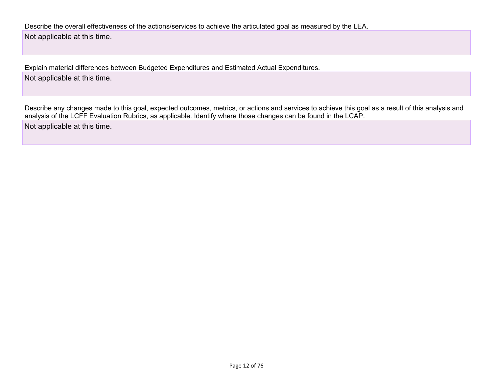Describe the overall effectiveness of the actions/services to achieve the articulated goal as measured by the LEA. Not applicable at this time.

Explain material differences between Budgeted Expenditures and Estimated Actual Expenditures. Not applicable at this time.

Describe any changes made to this goal, expected outcomes, metrics, or actions and services to achieve this goal as a result of this analysis and analysis of the LCFF Evaluation Rubrics, as applicable. Identify where those changes can be found in the LCAP.

Not applicable at this time.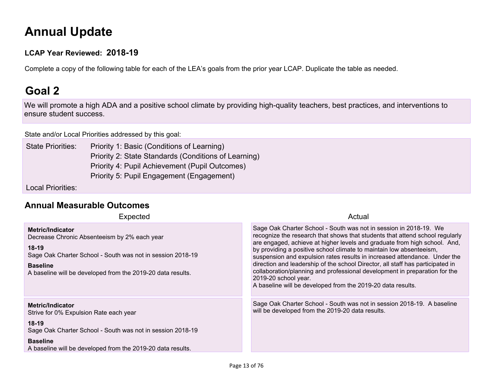# **Annual [Update](#page-57-0)**

#### **LCAP Year Reviewed: 2018-19**

Complete a copy of the following table for each of the LEA's goals from the prior year LCAP. Duplicate the table as needed.

# **Goal 2**

We will promote a high ADA and a positive school climate by providing high-quality teachers, best practices, and interventions to ensure student success.

State and/or Local Priorities [addressed](#page-64-0) by this goal:

State Priorities: Priority 1: Basic (Conditions of Learning) Priority 2: State Standards (Conditions of Learning) Priority 4: Pupil Achievement (Pupil Outcomes) Priority 5: Pupil Engagement (Engagement)

Local Priorities:

### **Annual [Measurable](#page-57-1) Outcomes**

| Expected                                                                                                                                                                                                                           | Actual                                                                                                                                                                                                                                                                                                                                                                                                                                                                                                                                                                                                                                    |
|------------------------------------------------------------------------------------------------------------------------------------------------------------------------------------------------------------------------------------|-------------------------------------------------------------------------------------------------------------------------------------------------------------------------------------------------------------------------------------------------------------------------------------------------------------------------------------------------------------------------------------------------------------------------------------------------------------------------------------------------------------------------------------------------------------------------------------------------------------------------------------------|
| <b>Metric/Indicator</b><br>Decrease Chronic Absenteeism by 2% each year<br>$18-19$<br>Sage Oak Charter School - South was not in session 2018-19<br><b>Baseline</b><br>A baseline will be developed from the 2019-20 data results. | Sage Oak Charter School - South was not in session in 2018-19. We<br>recognize the research that shows that students that attend school regularly<br>are engaged, achieve at higher levels and graduate from high school. And,<br>by providing a positive school climate to maintain low absenteeism,<br>suspension and expulsion rates results in increased attendance. Under the<br>direction and leadership of the school Director, all staff has participated in<br>collaboration/planning and professional development in preparation for the<br>2019-20 school year.<br>A baseline will be developed from the 2019-20 data results. |
| <b>Metric/Indicator</b><br>Strive for 0% Expulsion Rate each year<br>$18-19$<br>Sage Oak Charter School - South was not in session 2018-19<br><b>Baseline</b><br>A baseline will be developed from the 2019-20 data results.       | Sage Oak Charter School - South was not in session 2018-19. A baseline<br>will be developed from the 2019-20 data results.                                                                                                                                                                                                                                                                                                                                                                                                                                                                                                                |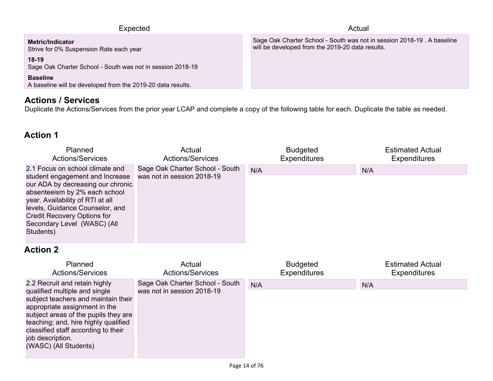| Expected                                                                       | Actual                                                                                                                     |
|--------------------------------------------------------------------------------|----------------------------------------------------------------------------------------------------------------------------|
| Metric/Indicator<br>Strive for 0% Suspension Rate each year                    | Sage Oak Charter School - South was not in session 2018-19. A baseline<br>will be developed from the 2019-20 data results. |
| $18-19$<br>Sage Oak Charter School - South was not in session 2018-19          |                                                                                                                            |
| <b>Baseline</b><br>A baseline will be developed from the 2019-20 data results. |                                                                                                                            |

### **Actions / [Services](#page-57-2)**

Duplicate the Actions/Services from the prior year LCAP and complete a copy of the following table for each. Duplicate the table as needed.

### **Action 1**

| Planned                                                                                                                                                                                                                                                                                    | Actual                                                        | <b>Budgeted</b>     | <b>Estimated Actual</b> |
|--------------------------------------------------------------------------------------------------------------------------------------------------------------------------------------------------------------------------------------------------------------------------------------------|---------------------------------------------------------------|---------------------|-------------------------|
| <b>Actions/Services</b>                                                                                                                                                                                                                                                                    | <b>Actions/Services</b>                                       | <b>Expenditures</b> | <b>Expenditures</b>     |
| 2.1 Focus on school climate and<br>student engagement and Increase<br>our ADA by decreasing our chronic<br>absenteeism by 2% each school<br>year. Availability of RTI at all<br>levels, Guidance Counselor, and<br>Credit Recovery Options for<br>Secondary Level (WASC) (All<br>Students) | Sage Oak Charter School - South<br>was not in session 2018-19 | N/A                 | N/A                     |

| Planned                                                                                                                                                                                                                                                                                                    | Actual                                                        | <b>Budgeted</b>     | <b>Estimated Actual</b> |
|------------------------------------------------------------------------------------------------------------------------------------------------------------------------------------------------------------------------------------------------------------------------------------------------------------|---------------------------------------------------------------|---------------------|-------------------------|
| <b>Actions/Services</b>                                                                                                                                                                                                                                                                                    | <b>Actions/Services</b>                                       | <b>Expenditures</b> | <b>Expenditures</b>     |
| 2.2 Recruit and retain highly<br>qualified multiple and single<br>subject teachers and maintain their<br>appropriate assignment in the<br>subject areas of the pupils they are<br>teaching; and, hire highly qualified<br>classified staff according to their<br>job description.<br>(WASC) (All Students) | Sage Oak Charter School - South<br>was not in session 2018-19 | N/A                 | N/A                     |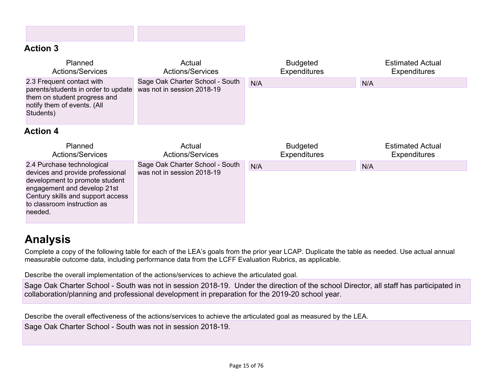### **Action 3**

| Planned<br><b>Actions/Services</b>                                                                                                           | Actual<br><b>Actions/Services</b>                             | <b>Budgeted</b><br><b>Expenditures</b> | <b>Estimated Actual</b><br><b>Expenditures</b> |
|----------------------------------------------------------------------------------------------------------------------------------------------|---------------------------------------------------------------|----------------------------------------|------------------------------------------------|
| 2.3 Frequent contact with<br>parents/students in order to update<br>them on student progress and<br>notify them of events. (All<br>Students) | Sage Oak Charter School - South<br>was not in session 2018-19 | N/A                                    | N/A                                            |
| <b>Action 4</b>                                                                                                                              |                                                               |                                        |                                                |
|                                                                                                                                              |                                                               |                                        |                                                |
| Planned<br><b>Actions/Services</b>                                                                                                           | Actual<br><b>Actions/Services</b>                             | <b>Budgeted</b><br><b>Expenditures</b> | <b>Estimated Actual</b><br><b>Expenditures</b> |

# **[Analysis](#page-57-3)**

Complete a copy of the following table for each of the LEA's goals from the prior year LCAP. Duplicate the table as needed. Use actual annual measurable outcome data, including performance data from the LCFF Evaluation Rubrics, as applicable.

Describe the overall implementation of the actions/services to achieve the articulated goal.

Sage Oak Charter School - South was not in session 2018-19. Under the direction of the school Director, all staff has participated in collaboration/planning and professional development in preparation for the 2019-20 school year.

Describe the overall effectiveness of the actions/services to achieve the articulated goal as measured by the LEA. Sage Oak Charter School - South was not in session 2018-19.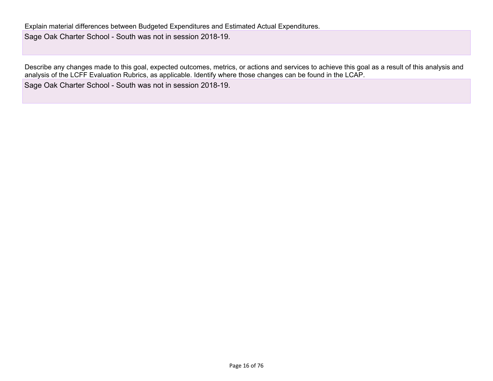Describe any changes made to this goal, expected outcomes, metrics, or actions and services to achieve this goal as a result of this analysis and analysis of the LCFF Evaluation Rubrics, as applicable. Identify where those changes can be found in the LCAP. Sage Oak Charter School - South was not in session 2018-19.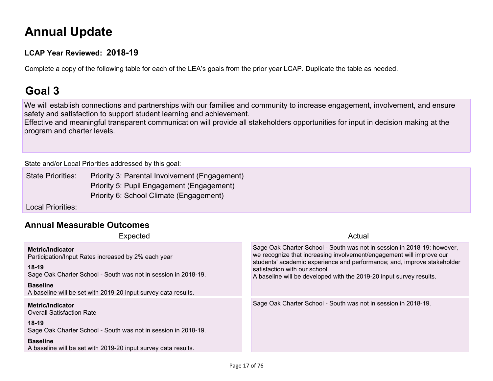# **Annual [Update](#page-57-0)**

#### **LCAP Year Reviewed: 2018-19**

Complete a copy of the following table for each of the LEA's goals from the prior year LCAP. Duplicate the table as needed.

# **Goal 3**

We will establish connections and partnerships with our families and community to increase engagement, involvement, and ensure safety and satisfaction to support student learning and achievement.

Effective and meaningful transparent communication will provide all stakeholders opportunities for input in decision making at the program and charter levels.

State and/or Local Priorities [addressed](#page-64-0) by this goal:

State Priorities: Priority 3: Parental Involvement (Engagement) Priority 5: Pupil Engagement (Engagement) Priority 6: School Climate (Engagement)

Local Priorities:

### **Annual [Measurable](#page-57-1) Outcomes**

| Expected                                                                                                                                                                                                                                         | Actual                                                                                                                                                                                                                                                                                                                             |
|--------------------------------------------------------------------------------------------------------------------------------------------------------------------------------------------------------------------------------------------------|------------------------------------------------------------------------------------------------------------------------------------------------------------------------------------------------------------------------------------------------------------------------------------------------------------------------------------|
| <b>Metric/Indicator</b><br>Participation/Input Rates increased by 2% each year<br>$18-19$<br>Sage Oak Charter School - South was not in session in 2018-19.<br><b>Baseline</b><br>A baseline will be set with 2019-20 input survey data results. | Sage Oak Charter School - South was not in session in 2018-19; however,<br>we recognize that increasing involvement/engagement will improve our<br>students' academic experience and performance; and, improve stakeholder<br>satisfaction with our school.<br>A baseline will be developed with the 2019-20 input survey results. |
| <b>Metric/Indicator</b><br><b>Overall Satisfaction Rate</b><br>$18-19$<br>Sage Oak Charter School - South was not in session in 2018-19.<br><b>Baseline</b><br>A baseline will be set with 2019-20 input survey data results.                    | Sage Oak Charter School - South was not in session in 2018-19.                                                                                                                                                                                                                                                                     |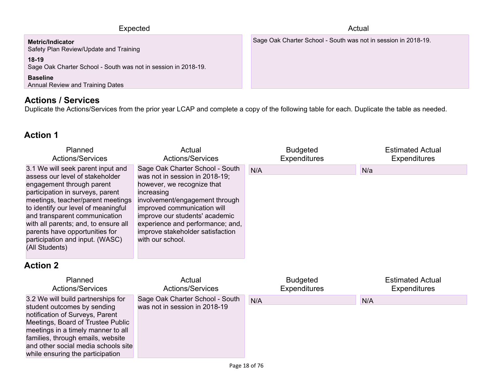| Expected                                                                                                                                                                                              | Actual                                                         |
|-------------------------------------------------------------------------------------------------------------------------------------------------------------------------------------------------------|----------------------------------------------------------------|
| <b>Metric/Indicator</b><br>Safety Plan Review/Update and Training<br>$18-19$<br>Sage Oak Charter School - South was not in session in 2018-19.<br><b>Baseline</b><br>Annual Review and Training Dates | Sage Oak Charter School - South was not in session in 2018-19. |
|                                                                                                                                                                                                       |                                                                |

### **Actions / [Services](#page-57-2)**

Duplicate the Actions/Services from the prior year LCAP and complete a copy of the following table for each. Duplicate the table as needed.

### **Action 1**

| Planned                                                                                                                                                                                                                                                                                                                                                                           | Actual                                                                                                                                                                                                                                                                                                       | <b>Budgeted</b>     | <b>Estimated Actual</b> |
|-----------------------------------------------------------------------------------------------------------------------------------------------------------------------------------------------------------------------------------------------------------------------------------------------------------------------------------------------------------------------------------|--------------------------------------------------------------------------------------------------------------------------------------------------------------------------------------------------------------------------------------------------------------------------------------------------------------|---------------------|-------------------------|
| <b>Actions/Services</b>                                                                                                                                                                                                                                                                                                                                                           | <b>Actions/Services</b>                                                                                                                                                                                                                                                                                      | <b>Expenditures</b> | <b>Expenditures</b>     |
| 3.1 We will seek parent input and<br>assess our level of stakeholder<br>engagement through parent<br>participation in surveys, parent<br>meetings, teacher/parent meetings<br>to identify our level of meaningful<br>and transparent communication<br>with all parents; and, to ensure all<br>parents have opportunities for<br>participation and input. (WASC)<br>(All Students) | Sage Oak Charter School - South<br>was not in session in 2018-19;<br>however, we recognize that<br>increasing<br>involvement/engagement through<br>improved communication will<br>improve our students' academic<br>experience and performance; and,<br>improve stakeholder satisfaction<br>with our school. | N/A                 | N/a                     |

| Planned                                                                                                                                                                                                                                                                                         | Actual                                                           | <b>Budgeted</b>     | <b>Estimated Actual</b> |
|-------------------------------------------------------------------------------------------------------------------------------------------------------------------------------------------------------------------------------------------------------------------------------------------------|------------------------------------------------------------------|---------------------|-------------------------|
| <b>Actions/Services</b>                                                                                                                                                                                                                                                                         | <b>Actions/Services</b>                                          | <b>Expenditures</b> | <b>Expenditures</b>     |
| 3.2 We will build partnerships for<br>student outcomes by sending<br>notification of Surveys, Parent<br>Meetings, Board of Trustee Public<br>meetings in a timely manner to all<br>families, through emails, website<br>and other social media schools site<br>while ensuring the participation | Sage Oak Charter School - South<br>was not in session in 2018-19 | N/A                 | N/A                     |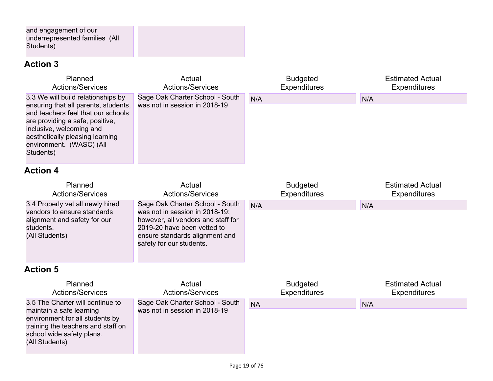and engagement of our underrepresented families (All Students)

# **Action 3**

| Planned                                                                                                                                                                                                                                                     | Actual                                                           | <b>Budgeted</b>     | <b>Estimated Actual</b> |
|-------------------------------------------------------------------------------------------------------------------------------------------------------------------------------------------------------------------------------------------------------------|------------------------------------------------------------------|---------------------|-------------------------|
| <b>Actions/Services</b>                                                                                                                                                                                                                                     | <b>Actions/Services</b>                                          | <b>Expenditures</b> | <b>Expenditures</b>     |
| 3.3 We will build relationships by<br>ensuring that all parents, students,<br>and teachers feel that our schools<br>are providing a safe, positive,<br>inclusive, welcoming and<br>aesthetically pleasing learning<br>environment. (WASC) (All<br>Students) | Sage Oak Charter School - South<br>was not in session in 2018-19 | N/A                 | N/A                     |
| <b>Action 4</b>                                                                                                                                                                                                                                             |                                                                  |                     |                         |
| Planned                                                                                                                                                                                                                                                     | Actual                                                           | <b>Budgeted</b>     | <b>Estimated Actual</b> |
| <b>Actions/Services</b>                                                                                                                                                                                                                                     | <b>Actions/Services</b>                                          | <b>Expenditures</b> | <b>Expenditures</b>     |

| ACTIONIS/OCI VICES               | ACTIONS/OCTVICES                   | <b>EXPETIQUES</b> | <b>EXPETIQUES</b> |  |
|----------------------------------|------------------------------------|-------------------|-------------------|--|
| 3.4 Properly vet all newly hired | Sage Oak Charter School - South    | N/A               | N/A               |  |
| vendors to ensure standards      | was not in session in 2018-19;     |                   |                   |  |
| alignment and safety for our     | however, all vendors and staff for |                   |                   |  |
| students.                        | 2019-20 have been vetted to        |                   |                   |  |
| (All Students)                   | ensure standards alignment and     |                   |                   |  |
|                                  | safety for our students.           |                   |                   |  |
|                                  |                                    |                   |                   |  |
|                                  |                                    |                   |                   |  |

| Planned                                                                                                                                                                              | Actual                                                           | <b>Budgeted</b>     | <b>Estimated Actual</b> |
|--------------------------------------------------------------------------------------------------------------------------------------------------------------------------------------|------------------------------------------------------------------|---------------------|-------------------------|
| <b>Actions/Services</b>                                                                                                                                                              | <b>Actions/Services</b>                                          | <b>Expenditures</b> | <b>Expenditures</b>     |
| 3.5 The Charter will continue to<br>maintain a safe learning<br>environment for all students by<br>training the teachers and staff on<br>school wide safety plans.<br>(All Students) | Sage Oak Charter School - South<br>was not in session in 2018-19 | <b>NA</b>           | N/A                     |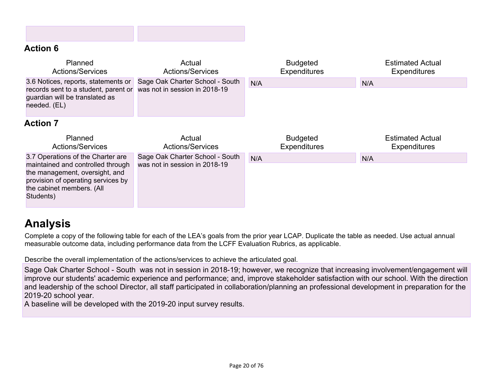### **Action 6**

| Planned<br><b>Actions/Services</b>                                                                                            | Actual<br><b>Actions/Services</b>                                | <b>Budgeted</b><br><b>Expenditures</b> | <b>Estimated Actual</b><br><b>Expenditures</b> |
|-------------------------------------------------------------------------------------------------------------------------------|------------------------------------------------------------------|----------------------------------------|------------------------------------------------|
| 3.6 Notices, reports, statements or<br>records sent to a student, parent or<br>guardian will be translated as<br>needed. (EL) | Sage Oak Charter School - South<br>was not in session in 2018-19 | N/A                                    | N/A                                            |
| <b>Action 7</b>                                                                                                               |                                                                  |                                        |                                                |
|                                                                                                                               |                                                                  |                                        |                                                |
| Planned<br><b>Actions/Services</b>                                                                                            | Actual<br><b>Actions/Services</b>                                | <b>Budgeted</b><br><b>Expenditures</b> | <b>Estimated Actual</b><br><b>Expenditures</b> |

# **[Analysis](#page-57-3)**

Complete a copy of the following table for each of the LEA's goals from the prior year LCAP. Duplicate the table as needed. Use actual annual measurable outcome data, including performance data from the LCFF Evaluation Rubrics, as applicable.

Describe the overall implementation of the actions/services to achieve the articulated goal.

Sage Oak Charter School - South was not in session in 2018-19; however, we recognize that increasing involvement/engagement will improve our students' academic experience and performance; and, improve stakeholder satisfaction with our school. With the direction and leadership of the school Director, all staff participated in collaboration/planning an professional development in preparation for the 2019-20 school year.

A baseline will be developed with the 2019-20 input survey results.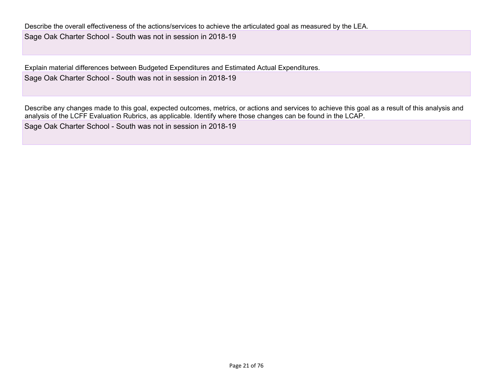Describe the overall effectiveness of the actions/services to achieve the articulated goal as measured by the LEA. Sage Oak Charter School - South was not in session in 2018-19

Explain material differences between Budgeted Expenditures and Estimated Actual Expenditures. Sage Oak Charter School - South was not in session in 2018-19

Describe any changes made to this goal, expected outcomes, metrics, or actions and services to achieve this goal as a result of this analysis and analysis of the LCFF Evaluation Rubrics, as applicable. Identify where those changes can be found in the LCAP.

Sage Oak Charter School - South was not in session in 2018-19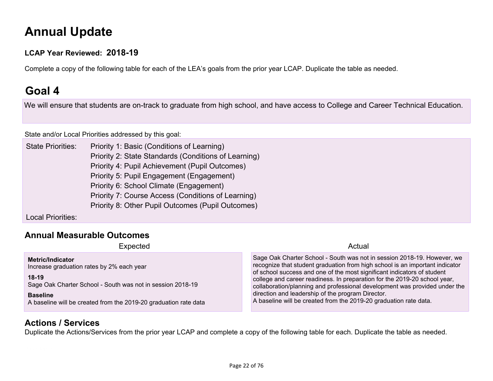# **Annual [Update](#page-57-0)**

#### **LCAP Year Reviewed: 2018-19**

Complete a copy of the following table for each of the LEA's goals from the prior year LCAP. Duplicate the table as needed.

# **Goal 4**

We will ensure that students are on-track to graduate from high school, and have access to College and Career Technical Education.

State and/or Local Priorities [addressed](#page-64-0) by this goal:

State Priorities: Priority 1: Basic (Conditions of Learning) Priority 2: State Standards (Conditions of Learning) Priority 4: Pupil Achievement (Pupil Outcomes) Priority 5: Pupil Engagement (Engagement) Priority 6: School Climate (Engagement) Priority 7: Course Access (Conditions of Learning) Priority 8: Other Pupil Outcomes (Pupil Outcomes)

Local Priorities:

#### **Annual [Measurable](#page-57-1) Outcomes**

Expected Actual Actual Actual Actual Actual Actual Actual Actual Actual Actual Actual Actual Actual Actual Actual Actual Actual Actual Actual Actual Actual Actual Actual Actual Actual Actual Actual Actual Actual Actual Act

**Metric/Indicator** Increase graduation rates by 2% each year **18-19** Sage Oak Charter School - South was not in session 2018-19 **Baseline** A baseline will be created from the 2019-20 graduation rate data Sage Oak Charter School - South was not in session 2018-19. However, we recognize that student graduation from high school is an important indicator of school success and one of the most significant indicators of student college and career readiness. In preparation for the 2019-20 school year, collaboration/planning and professional development was provided under the direction and leadership of the program Director. A baseline will be created from the 2019-20 graduation rate data.

#### **Actions / [Services](#page-57-2)**

Duplicate the Actions/Services from the prior year LCAP and complete a copy of the following table for each. Duplicate the table as needed.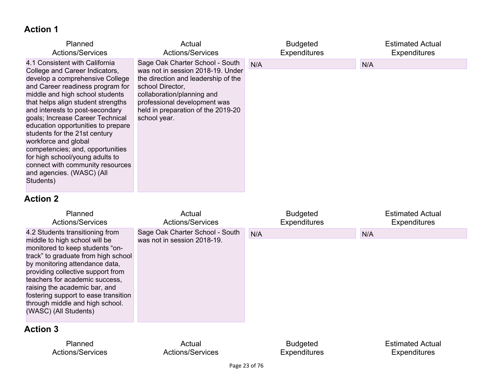### **Action 1**

| Planned                                                                                                                                                                                                                                                                                                                                                                                                                                                                                                                                     | Actual                                                                                                                                                                                                                                              | <b>Budgeted</b>     | <b>Estimated Actual</b> |
|---------------------------------------------------------------------------------------------------------------------------------------------------------------------------------------------------------------------------------------------------------------------------------------------------------------------------------------------------------------------------------------------------------------------------------------------------------------------------------------------------------------------------------------------|-----------------------------------------------------------------------------------------------------------------------------------------------------------------------------------------------------------------------------------------------------|---------------------|-------------------------|
| <b>Actions/Services</b>                                                                                                                                                                                                                                                                                                                                                                                                                                                                                                                     | <b>Actions/Services</b>                                                                                                                                                                                                                             | <b>Expenditures</b> | <b>Expenditures</b>     |
| 4.1 Consistent with California<br>College and Career Indicators,<br>develop a comprehensive College<br>and Career readiness program for<br>middle and high school students<br>that helps align student strengths<br>and interests to post-secondary<br>goals; Increase Career Technical<br>education opportunities to prepare<br>students for the 21st century<br>workforce and global<br>competencies; and, opportunities<br>for high school/young adults to<br>connect with community resources<br>and agencies. (WASC) (All<br>Students) | Sage Oak Charter School - South<br>was not in session 2018-19. Under<br>the direction and leadership of the<br>school Director,<br>collaboration/planning and<br>professional development was<br>held in preparation of the 2019-20<br>school year. | N/A                 | N/A                     |

### **Action 2**

| Planned<br><b>Actions/Services</b>                                                                                                                                                                                                                                                                                                                                                       | Actual<br><b>Actions/Services</b>                              | <b>Budgeted</b><br><b>Expenditures</b> | <b>Estimated Actual</b><br><b>Expenditures</b> |
|------------------------------------------------------------------------------------------------------------------------------------------------------------------------------------------------------------------------------------------------------------------------------------------------------------------------------------------------------------------------------------------|----------------------------------------------------------------|----------------------------------------|------------------------------------------------|
| 4.2 Students transitioning from<br>middle to high school will be<br>monitored to keep students "on-<br>track" to graduate from high school<br>by monitoring attendance data,<br>providing collective support from<br>teachers for academic success,<br>raising the academic bar, and<br>fostering support to ease transition<br>through middle and high school.<br>(WASC) (All Students) | Sage Oak Charter School - South<br>was not in session 2018-19. | N/A                                    | N/A                                            |
| <b>Action 3</b>                                                                                                                                                                                                                                                                                                                                                                          |                                                                |                                        |                                                |

Planned Actions/Services

Actual Actions/Services

Budgeted Expenditures Estimated Actual Expenditures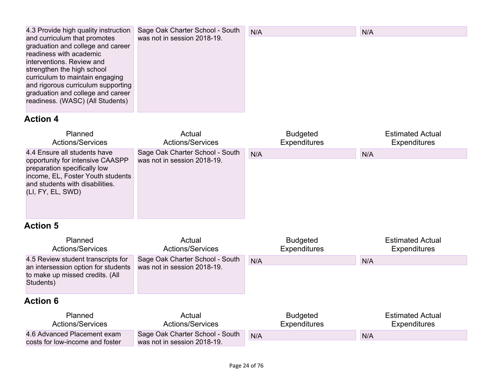| 4.3 Provide high quality instruction | Sage Oak Charter School - South | N/A | N/A |
|--------------------------------------|---------------------------------|-----|-----|
| and curriculum that promotes         | was not in session 2018-19.     |     |     |
| graduation and college and career    |                                 |     |     |
| readiness with academic              |                                 |     |     |
| interventions. Review and            |                                 |     |     |
| strengthen the high school           |                                 |     |     |
| curriculum to maintain engaging      |                                 |     |     |
| and rigorous curriculum supporting   |                                 |     |     |
| graduation and college and career    |                                 |     |     |
| readiness. (WASC) (All Students)     |                                 |     |     |
|                                      |                                 |     |     |

# **Action 4**

| Planned                                                                                                                                                                                       | Actual                                                         | <b>Budgeted</b>     | <b>Estimated Actual</b> |
|-----------------------------------------------------------------------------------------------------------------------------------------------------------------------------------------------|----------------------------------------------------------------|---------------------|-------------------------|
| <b>Actions/Services</b>                                                                                                                                                                       | <b>Actions/Services</b>                                        | <b>Expenditures</b> | <b>Expenditures</b>     |
| 4.4 Ensure all students have<br>opportunity for intensive CAASPP<br>preparation specifically low<br>income, EL, Foster Youth students<br>and students with disabilities.<br>(LI, FY, EL, SWD) | Sage Oak Charter School - South<br>was not in session 2018-19. | N/A                 | N/A                     |

| Planned<br><b>Actions/Services</b>                                                                                        | Actual<br><b>Actions/Services</b>                              | <b>Budgeted</b><br><b>Expenditures</b> | <b>Estimated Actual</b><br><b>Expenditures</b> |
|---------------------------------------------------------------------------------------------------------------------------|----------------------------------------------------------------|----------------------------------------|------------------------------------------------|
| 4.5 Review student transcripts for<br>an intersession option for students<br>to make up missed credits. (All<br>Students) | Sage Oak Charter School - South<br>was not in session 2018-19. | N/A                                    | N/A                                            |
| <b>Action 6</b>                                                                                                           |                                                                |                                        |                                                |
| <b>Planned</b><br><b>Actions/Services</b>                                                                                 | Actual<br><b>Actions/Services</b>                              | <b>Budgeted</b><br><b>Expenditures</b> | <b>Estimated Actual</b><br><b>Expenditures</b> |
| 4.6 Advanced Placement exam<br>costs for low-income and foster                                                            | Sage Oak Charter School - South<br>was not in session 2018-19. | N/A                                    | N/A                                            |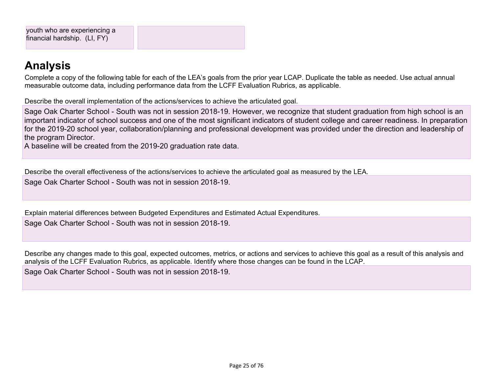# **[Analysis](#page-57-3)**

Complete a copy of the following table for each of the LEA's goals from the prior year LCAP. Duplicate the table as needed. Use actual annual measurable outcome data, including performance data from the LCFF Evaluation Rubrics, as applicable.

Describe the overall implementation of the actions/services to achieve the articulated goal.

Sage Oak Charter School - South was not in session 2018-19. However, we recognize that student graduation from high school is an important indicator of school success and one of the most significant indicators of student college and career readiness. In preparation for the 2019-20 school year, collaboration/planning and professional development was provided under the direction and leadership of the program Director.

A baseline will be created from the 2019-20 graduation rate data.

Describe the overall effectiveness of the actions/services to achieve the articulated goal as measured by the LEA.

Sage Oak Charter School - South was not in session 2018-19.

Explain material differences between Budgeted Expenditures and Estimated Actual Expenditures. Sage Oak Charter School - South was not in session 2018-19.

Describe any changes made to this goal, expected outcomes, metrics, or actions and services to achieve this goal as a result of this analysis and analysis of the LCFF Evaluation Rubrics, as applicable. Identify where those changes can be found in the LCAP.

Sage Oak Charter School - South was not in session 2018-19.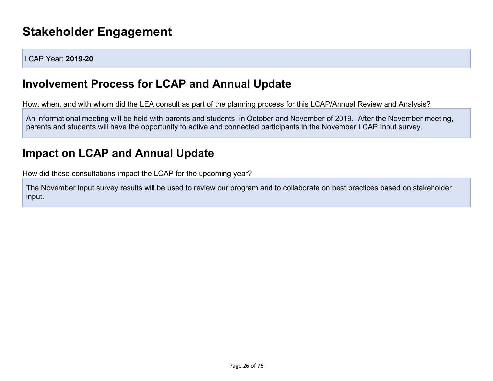# **Stakeholder [Engagement](#page-57-4)**

LCAP Year: **2019-20**

# **Involvement Process for LCAP and Annual Update**

How, when, and with whom did the LEA consult as part of the planning process for this LCAP/Annual Review and Analysis?

An informational meeting will be held with parents and students in October and November of 2019. After the November meeting, parents and students will have the opportunity to active and connected participants in the November LCAP Input survey.

# **Impact on LCAP and Annual Update**

How did these consultations impact the LCAP for the upcoming year?

The November Input survey results will be used to review our program and to collaborate on best practices based on stakeholder input.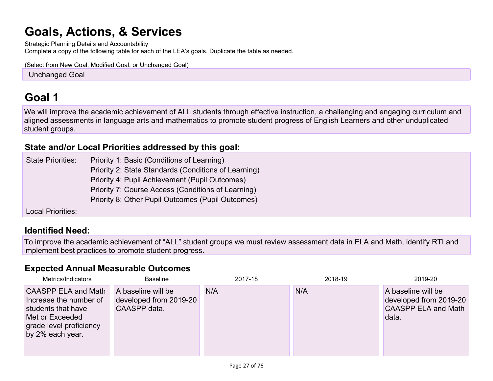# **Goals, Actions, & [Services](#page-58-0)**

Strategic Planning Details and Accountability Complete a copy of the following table for each of the LEA's goals. Duplicate the table as needed.

(Select from New Goal, Modified Goal, or Unchanged Goal)

**Unchanged Goal** 

# **[Goal](#page-59-0) 1**

We will improve the academic achievement of ALL students through effective instruction, a challenging and engaging curriculum and aligned assessments in language arts and mathematics to promote student progress of English Learners and other unduplicated student groups.

#### **State and/or Local Priorities [addressed](#page-64-0) by this goal:**

State Priorities: Priority 1: Basic (Conditions of Learning) Priority 2: State Standards (Conditions of Learning) Priority 4: Pupil Achievement (Pupil Outcomes) Priority 7: Course Access (Conditions of Learning) Priority 8: Other Pupil Outcomes (Pupil Outcomes)

Local Priorities:

### **[Identified](#page-59-1) Need:**

To improve the academic achievement of "ALL" student groups we must review assessment data in ELA and Math, identify RTI and implement best practices to promote student progress.

### **Expected Annual [Measurable](#page-59-2) Outcomes**

| Metrics/Indicators                                                                                                                           | <b>Baseline</b>                                              | 2017-18 | 2018-19 | 2019-20                                                                             |
|----------------------------------------------------------------------------------------------------------------------------------------------|--------------------------------------------------------------|---------|---------|-------------------------------------------------------------------------------------|
| <b>CAASPP ELA and Math</b><br>Increase the number of<br>students that have<br>Met or Exceeded<br>grade level proficiency<br>by 2% each year. | A baseline will be<br>developed from 2019-20<br>CAASPP data. | N/A     | N/A     | A baseline will be<br>developed from 2019-20<br><b>CAASPP ELA and Math</b><br>data. |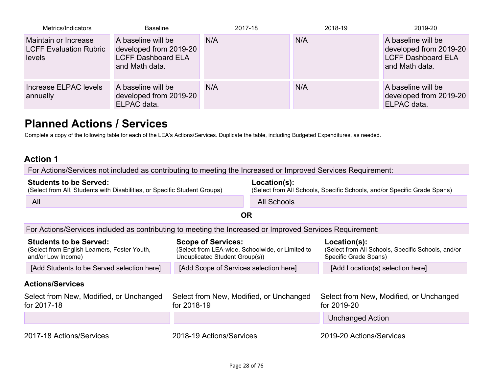| Metrics/Indicators                                              | <b>Baseline</b>                                                                             | 2017-18 | 2018-19 | 2019-20                                                                                     |
|-----------------------------------------------------------------|---------------------------------------------------------------------------------------------|---------|---------|---------------------------------------------------------------------------------------------|
| Maintain or Increase<br><b>LCFF Evaluation Rubric</b><br>levels | A baseline will be<br>developed from 2019-20<br><b>LCFF Dashboard ELA</b><br>and Math data. | N/A     | N/A     | A baseline will be<br>developed from 2019-20<br><b>LCFF Dashboard ELA</b><br>and Math data. |
| Increase ELPAC levels<br>annually                               | A baseline will be<br>developed from 2019-20<br>ELPAC data.                                 | N/A     | N/A     | A baseline will be<br>developed from 2019-20<br>ELPAC data.                                 |

# **Planned Actions / [Services](#page-59-3)**

Complete a copy of the following table for each of the LEA's Actions/Services. Duplicate the table, including Budgeted Expenditures, as needed.

#### **Action 1**

For Actions/Services not included as contributing to meeting the Increased or Improved Services Requirement:

#### **[Students](#page-59-4) to be Served:** (Select from All, Students with Disabilities, or Specific Student Groups) **[Location\(s\):](#page-60-0)** (Select from All Schools, Specific Schools, and/or Specific Grade Spans) All Schools and the contract of the contract of the contract of the contract of the contract of the contract of the contract of the contract of the contract of the contract of the contract of the contract of the contract o

**OR**

For [Actions/Services](#page-60-1) included as contributing to meeting the Increased or Improved Services Requirement:

| <b>Students to be Served:</b><br>(Select from English Learners, Foster Youth,<br>and/or Low Income) | <b>Scope of Services:</b><br>(Select from LEA-wide, Schoolwide, or Limited to<br>Unduplicated Student Group(s)) | Location(s):<br>(Select from All Schools, Specific Schools, and/or<br>Specific Grade Spans) |
|-----------------------------------------------------------------------------------------------------|-----------------------------------------------------------------------------------------------------------------|---------------------------------------------------------------------------------------------|
| [Add Students to be Served selection here]                                                          | [Add Scope of Services selection here]                                                                          | [Add Location(s) selection here]                                                            |
| <b>Actions/Services</b>                                                                             |                                                                                                                 |                                                                                             |
| Select from New, Modified, or Unchanged<br>for 2017-18                                              | Select from New, Modified, or Unchanged<br>for 2018-19                                                          | Select from New, Modified, or Unchanged<br>for 2019-20                                      |
|                                                                                                     |                                                                                                                 | <b>Unchanged Action</b>                                                                     |
|                                                                                                     |                                                                                                                 |                                                                                             |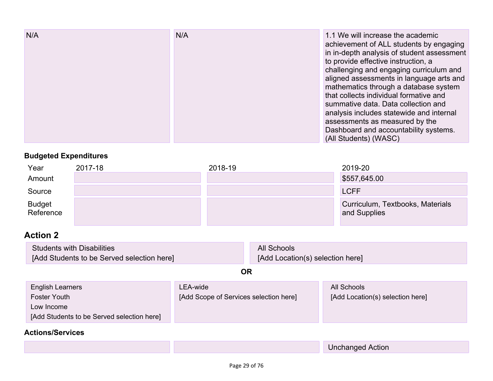| Year                       | 2017-18 | 2018-19 | 2019-20                                          |
|----------------------------|---------|---------|--------------------------------------------------|
| Amount                     |         |         | \$557,645.00                                     |
| Source                     |         |         | <b>LCFF</b>                                      |
| <b>Budget</b><br>Reference |         |         | Curriculum, Textbooks, Materials<br>and Supplies |

### **Action 2**

| Students with Disabilities                 | All Schools                      |
|--------------------------------------------|----------------------------------|
| [Add Students to be Served selection here] | [Add Location(s) selection here] |

**OR**

| <b>English Learners</b>                    | LEA-wide                               | All Schools                      |
|--------------------------------------------|----------------------------------------|----------------------------------|
| Foster Youth                               | [Add Scope of Services selection here] | [Add Location(s) selection here] |
| Low Income                                 |                                        |                                  |
| [Add Students to be Served selection here] |                                        |                                  |

### **[Actions/Services](#page-60-1)**

Unchanged Action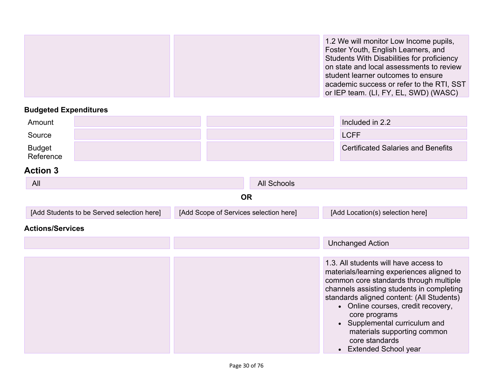|  | 1.2 We will monitor Low Income pupils,<br>Foster Youth, English Learners, and<br>Students With Disabilities for proficiency<br>on state and local assessments to review<br>student learner outcomes to ensure<br>academic success or refer to the RTI, SST<br>or IEP team. (LI, FY, EL, SWD) (WASC) |
|--|-----------------------------------------------------------------------------------------------------------------------------------------------------------------------------------------------------------------------------------------------------------------------------------------------------|
|--|-----------------------------------------------------------------------------------------------------------------------------------------------------------------------------------------------------------------------------------------------------------------------------------------------------|

| Amount              |  | Included in 2.2                           |
|---------------------|--|-------------------------------------------|
| Source              |  | LCFF                                      |
| Budget<br>Reference |  | <b>Certificated Salaries and Benefits</b> |

| All                                        | <b>All Schools</b>                     |                                                                                    |
|--------------------------------------------|----------------------------------------|------------------------------------------------------------------------------------|
|                                            | <b>OR</b>                              |                                                                                    |
| [Add Students to be Served selection here] | [Add Scope of Services selection here] | [Add Location(s) selection here]                                                   |
| <b>Actions/Services</b>                    |                                        |                                                                                    |
|                                            |                                        | <b>Unchanged Action</b>                                                            |
|                                            |                                        |                                                                                    |
|                                            |                                        | 1.3. All students will have access to<br>materials/learning experiences aligned to |

|  | materials/learning experiences aligned to |
|--|-------------------------------------------|
|  | common core standards through multiple    |
|  | channels assisting students in completing |
|  | standards aligned content: (All Students) |
|  | • Online courses, credit recovery,        |
|  | core programs                             |
|  | • Supplemental curriculum and             |
|  | materials supporting common               |
|  | core standards                            |
|  | <b>Extended School year</b>               |
|  |                                           |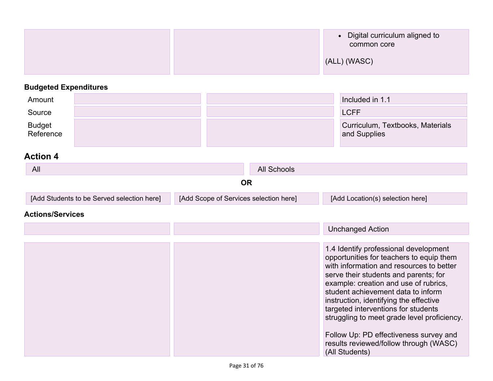|  | • Digital curriculum aligned to<br>common core |
|--|------------------------------------------------|
|  | (ALL) (WASC)                                   |

| Amount              |  | Included in 1.1                                  |
|---------------------|--|--------------------------------------------------|
| Source              |  | <b>LCFF</b>                                      |
| Budget<br>Reference |  | Curriculum, Textbooks, Materials<br>and Supplies |

### **Action 4**

| All                                        | All Schools                            |                                  |  |
|--------------------------------------------|----------------------------------------|----------------------------------|--|
|                                            | OR                                     |                                  |  |
| [Add Students to be Served selection here] | [Add Scope of Services selection here] | [Add Location(s) selection here] |  |

#### **[Actions/Services](#page-60-1)**

|  | <b>Unchanged Action</b>                                                                                                                                                                                                                                                                                                                                                                                                                                                                     |
|--|---------------------------------------------------------------------------------------------------------------------------------------------------------------------------------------------------------------------------------------------------------------------------------------------------------------------------------------------------------------------------------------------------------------------------------------------------------------------------------------------|
|  |                                                                                                                                                                                                                                                                                                                                                                                                                                                                                             |
|  | 1.4 Identify professional development<br>opportunities for teachers to equip them<br>with information and resources to better<br>serve their students and parents; for<br>example: creation and use of rubrics,<br>student achievement data to inform<br>instruction, identifying the effective<br>targeted interventions for students<br>struggling to meet grade level proficiency.<br>Follow Up: PD effectiveness survey and<br>results reviewed/follow through (WASC)<br>(All Students) |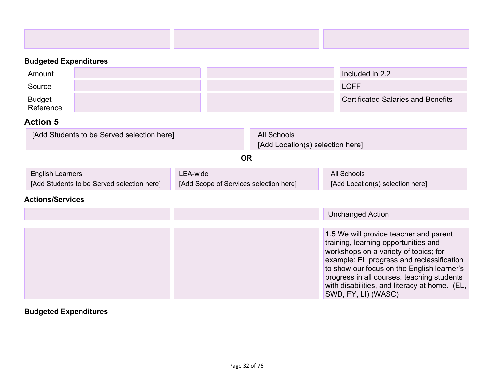| Amount              |  | Included in 2.2                           |
|---------------------|--|-------------------------------------------|
| Source              |  | <b>LCFF</b>                               |
| Budget<br>Reference |  | <b>Certificated Salaries and Benefits</b> |

### **Action 5**

| [Add Students to be Served selection here] | All Schools                      |  |
|--------------------------------------------|----------------------------------|--|
|                                            | [Add Location(s) selection here] |  |

#### **OR**

| <b>English Learners</b>                    | LEA-wide                               | All Schools                      |  |
|--------------------------------------------|----------------------------------------|----------------------------------|--|
| [Add Students to be Served selection here] | [Add Scope of Services selection here] | [Add Location(s) selection here] |  |

### **[Actions/Services](#page-60-1)**

|  | <b>Unchanged Action</b>                                                                                                                                                                                                                                                                                                                  |
|--|------------------------------------------------------------------------------------------------------------------------------------------------------------------------------------------------------------------------------------------------------------------------------------------------------------------------------------------|
|  | 1.5 We will provide teacher and parent<br>training, learning opportunities and<br>workshops on a variety of topics; for<br>example: EL progress and reclassification<br>to show our focus on the English learner's<br>progress in all courses, teaching students<br>with disabilities, and literacy at home. (EL,<br>SWD, FY, LI) (WASC) |

# **Budgeted Expenditures**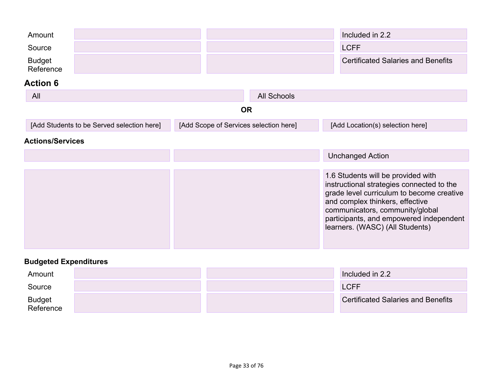| Amount<br>Source<br><b>Budget</b>          |                                        |                    | Included in 2.2<br><b>LCFF</b>   | <b>Certificated Salaries and Benefits</b>                                                                                                                                                                                                                                        |
|--------------------------------------------|----------------------------------------|--------------------|----------------------------------|----------------------------------------------------------------------------------------------------------------------------------------------------------------------------------------------------------------------------------------------------------------------------------|
| Reference                                  |                                        |                    |                                  |                                                                                                                                                                                                                                                                                  |
| <b>Action 6</b>                            |                                        |                    |                                  |                                                                                                                                                                                                                                                                                  |
| All                                        |                                        | <b>All Schools</b> |                                  |                                                                                                                                                                                                                                                                                  |
|                                            |                                        | <b>OR</b>          |                                  |                                                                                                                                                                                                                                                                                  |
| [Add Students to be Served selection here] | [Add Scope of Services selection here] |                    | [Add Location(s) selection here] |                                                                                                                                                                                                                                                                                  |
| <b>Actions/Services</b>                    |                                        |                    |                                  |                                                                                                                                                                                                                                                                                  |
|                                            |                                        |                    | <b>Unchanged Action</b>          |                                                                                                                                                                                                                                                                                  |
|                                            |                                        |                    |                                  |                                                                                                                                                                                                                                                                                  |
|                                            |                                        |                    |                                  | 1.6 Students will be provided with<br>instructional strategies connected to the<br>grade level curriculum to become creative<br>and complex thinkers, effective<br>communicators, community/global<br>participants, and empowered independent<br>learners. (WASC) (All Students) |

| Amount              |  | Included in 2.2                           |
|---------------------|--|-------------------------------------------|
| Source              |  | <b>LCFF</b>                               |
| Budget<br>Reference |  | <b>Certificated Salaries and Benefits</b> |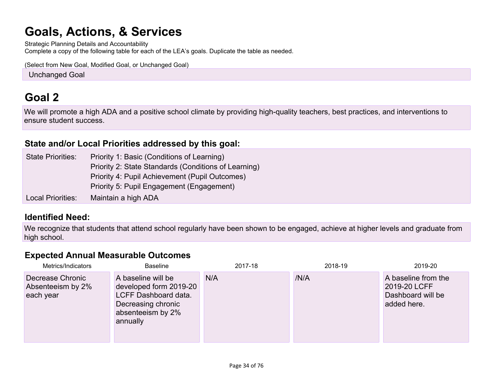# **Goals, Actions, & [Services](#page-58-0)**

Strategic Planning Details and Accountability Complete a copy of the following table for each of the LEA's goals. Duplicate the table as needed.

(Select from New Goal, Modified Goal, or Unchanged Goal)

**Unchanged Goal** 

# **[Goal](#page-59-0) 2**

We will promote a high ADA and a positive school climate by providing high-quality teachers, best practices, and interventions to ensure student success.

### **State and/or Local Priorities [addressed](#page-64-0) by this goal:**

| <b>State Priorities:</b> | Priority 1: Basic (Conditions of Learning)           |
|--------------------------|------------------------------------------------------|
|                          | Priority 2: State Standards (Conditions of Learning) |
|                          | Priority 4: Pupil Achievement (Pupil Outcomes)       |
|                          | Priority 5: Pupil Engagement (Engagement)            |
| Local Priorities:        | Maintain a high ADA                                  |

### **[Identified](#page-59-1) Need:**

We recognize that students that attend school regularly have been shown to be engaged, achieve at higher levels and graduate from high school.

#### **Expected Annual [Measurable](#page-59-2) Outcomes**

| Metrics/Indicators                                 | <b>Baseline</b>                                                                                                             | 2017-18 | 2018-19 | 2019-20                                                                 |
|----------------------------------------------------|-----------------------------------------------------------------------------------------------------------------------------|---------|---------|-------------------------------------------------------------------------|
| Decrease Chronic<br>Absenteeism by 2%<br>each year | A baseline will be<br>developed form 2019-20<br>LCFF Dashboard data.<br>Decreasing chronic<br>absenteeism by 2%<br>annually | N/A     | /N/A    | A baseline from the<br>2019-20 LCFF<br>Dashboard will be<br>added here. |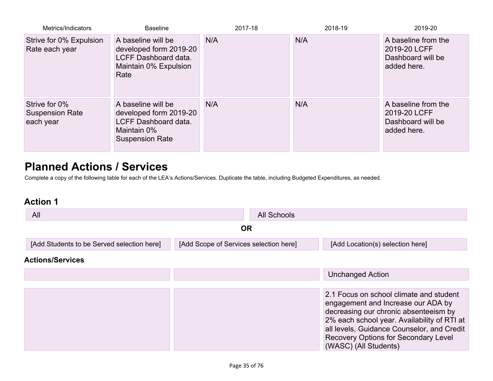| Metrics/Indicators                                   | <b>Baseline</b>                                                                                                      | 2017-18 | 2018-19 | 2019-20                                                                 |
|------------------------------------------------------|----------------------------------------------------------------------------------------------------------------------|---------|---------|-------------------------------------------------------------------------|
| Strive for 0% Expulsion<br>Rate each year            | A baseline will be<br>developed form 2019-20<br>LCFF Dashboard data.<br>Maintain 0% Expulsion<br>Rate                | N/A     | N/A     | A baseline from the<br>2019-20 LCFF<br>Dashboard will be<br>added here. |
| Strive for 0%<br><b>Suspension Rate</b><br>each year | A baseline will be<br>developed form 2019-20<br><b>LCFF Dashboard data.</b><br>Maintain 0%<br><b>Suspension Rate</b> | N/A     | N/A     | A baseline from the<br>2019-20 LCFF<br>Dashboard will be<br>added here. |

# **Planned Actions / [Services](#page-59-3)**

Complete a copy of the following table for each of the LEA's Actions/Services. Duplicate the table, including Budgeted Expenditures, as needed.

| All                                        | All Schools                            |                                                                                                                                                                                                                                                                                      |
|--------------------------------------------|----------------------------------------|--------------------------------------------------------------------------------------------------------------------------------------------------------------------------------------------------------------------------------------------------------------------------------------|
|                                            | <b>OR</b>                              |                                                                                                                                                                                                                                                                                      |
| [Add Students to be Served selection here] | [Add Scope of Services selection here] | [Add Location(s) selection here]                                                                                                                                                                                                                                                     |
| <b>Actions/Services</b>                    |                                        |                                                                                                                                                                                                                                                                                      |
|                                            |                                        | <b>Unchanged Action</b>                                                                                                                                                                                                                                                              |
|                                            |                                        | 2.1 Focus on school climate and student<br>engagement and Increase our ADA by<br>decreasing our chronic absenteeism by<br>2% each school year. Availability of RTI at<br>all levels, Guidance Counselor, and Credit<br>Recovery Options for Secondary Level<br>(WASC) (All Students) |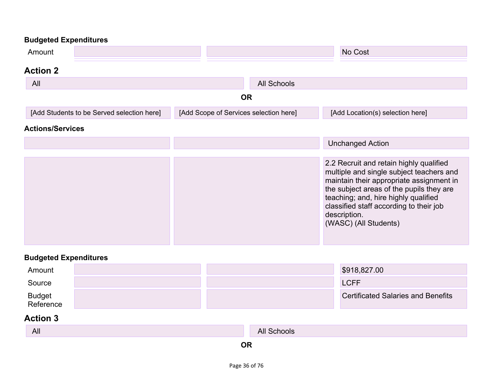| Amount                                     |                                        |                    | No Cost                                                                                                                                                                                                                                                                                                 |  |  |  |
|--------------------------------------------|----------------------------------------|--------------------|---------------------------------------------------------------------------------------------------------------------------------------------------------------------------------------------------------------------------------------------------------------------------------------------------------|--|--|--|
| <b>Action 2</b>                            |                                        |                    |                                                                                                                                                                                                                                                                                                         |  |  |  |
| All                                        |                                        | <b>All Schools</b> |                                                                                                                                                                                                                                                                                                         |  |  |  |
| <b>OR</b>                                  |                                        |                    |                                                                                                                                                                                                                                                                                                         |  |  |  |
| [Add Students to be Served selection here] | [Add Scope of Services selection here] |                    | [Add Location(s) selection here]                                                                                                                                                                                                                                                                        |  |  |  |
| <b>Actions/Services</b>                    |                                        |                    |                                                                                                                                                                                                                                                                                                         |  |  |  |
|                                            |                                        |                    | <b>Unchanged Action</b>                                                                                                                                                                                                                                                                                 |  |  |  |
|                                            |                                        |                    | 2.2 Recruit and retain highly qualified<br>multiple and single subject teachers and<br>maintain their appropriate assignment in<br>the subject areas of the pupils they are<br>teaching; and, hire highly qualified<br>classified staff according to their job<br>description.<br>(WASC) (All Students) |  |  |  |

# **Budgeted Expenditures**

| Amount              |  | \$918,827.00                              |
|---------------------|--|-------------------------------------------|
| Source              |  | <b>LCFF</b>                               |
| Budget<br>Reference |  | <b>Certificated Salaries and Benefits</b> |

| All | All Schools |
|-----|-------------|
|     |             |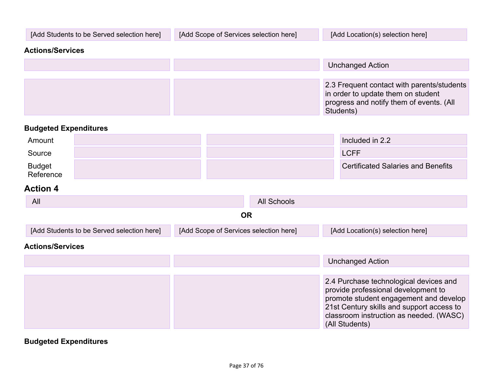| [Add Students to be Served selection here] | [Add Scope of Services selection here] | [Add Location(s) selection here]                                                                                                          |
|--------------------------------------------|----------------------------------------|-------------------------------------------------------------------------------------------------------------------------------------------|
| <b>Actions/Services</b>                    |                                        |                                                                                                                                           |
|                                            |                                        | <b>Unchanged Action</b>                                                                                                                   |
|                                            |                                        |                                                                                                                                           |
|                                            |                                        | 2.3 Frequent contact with parents/students<br>in order to update them on student<br>progress and notify them of events. (All<br>Students) |

| Amount              |  | Included in 2.2                           |
|---------------------|--|-------------------------------------------|
| Source              |  | <b>LCFF</b>                               |
| Budget<br>Reference |  | <b>Certificated Salaries and Benefits</b> |

### **Action 4**

| All                                        | All Schools                            |                                                                                                                                                                                                                                   |
|--------------------------------------------|----------------------------------------|-----------------------------------------------------------------------------------------------------------------------------------------------------------------------------------------------------------------------------------|
|                                            | <b>OR</b>                              |                                                                                                                                                                                                                                   |
| [Add Students to be Served selection here] | [Add Scope of Services selection here] | [Add Location(s) selection here]                                                                                                                                                                                                  |
| <b>Actions/Services</b>                    |                                        |                                                                                                                                                                                                                                   |
|                                            |                                        | <b>Unchanged Action</b>                                                                                                                                                                                                           |
|                                            |                                        | 2.4 Purchase technological devices and<br>provide professional development to<br>promote student engagement and develop<br>21st Century skills and support access to<br>classroom instruction as needed. (WASC)<br>(All Students) |

**Budgeted Expenditures**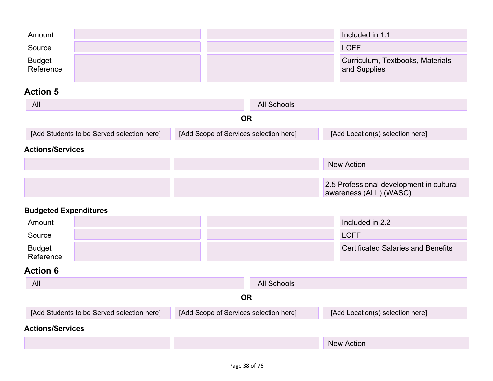| Amount                       |                                            |           |                                        | Included in 1.1                                                    |
|------------------------------|--------------------------------------------|-----------|----------------------------------------|--------------------------------------------------------------------|
| Source                       |                                            |           |                                        | <b>LCFF</b>                                                        |
| <b>Budget</b><br>Reference   |                                            |           |                                        | Curriculum, Textbooks, Materials<br>and Supplies                   |
| <b>Action 5</b>              |                                            |           |                                        |                                                                    |
| All                          |                                            |           | <b>All Schools</b>                     |                                                                    |
|                              |                                            | <b>OR</b> |                                        |                                                                    |
|                              | [Add Students to be Served selection here] |           | [Add Scope of Services selection here] | [Add Location(s) selection here]                                   |
| <b>Actions/Services</b>      |                                            |           |                                        |                                                                    |
|                              |                                            |           |                                        | <b>New Action</b>                                                  |
|                              |                                            |           |                                        |                                                                    |
|                              |                                            |           |                                        | 2.5 Professional development in cultural<br>awareness (ALL) (WASC) |
| <b>Budgeted Expenditures</b> |                                            |           |                                        |                                                                    |
| Amount                       |                                            |           |                                        | Included in 2.2                                                    |
| Source                       |                                            |           |                                        | <b>LCFF</b>                                                        |
| <b>Budget</b><br>Reference   |                                            |           |                                        | <b>Certificated Salaries and Benefits</b>                          |

| All                                        | All Schools                            |                                  |
|--------------------------------------------|----------------------------------------|----------------------------------|
|                                            | ΟR                                     |                                  |
| [Add Students to be Served selection here] | [Add Scope of Services selection here] | [Add Location(s) selection here] |
| <b>Actions/Services</b>                    |                                        |                                  |
|                                            |                                        | <b>New Action</b>                |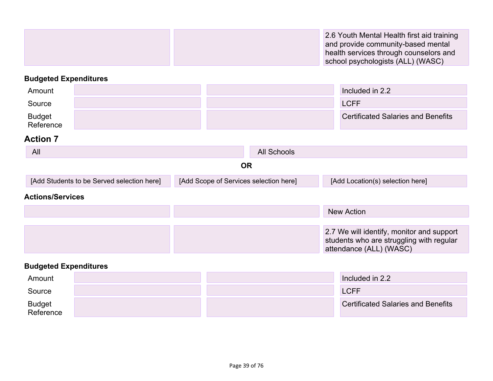|  | 2.6 Youth Mental Health first aid training |
|--|--------------------------------------------|
|  | and provide community-based mental         |
|  | health services through counselors and     |
|  | school psychologists (ALL) (WASC)          |

| Amount                     |                                            |                                        |                    | Included in 2.2                                                                                                  |
|----------------------------|--------------------------------------------|----------------------------------------|--------------------|------------------------------------------------------------------------------------------------------------------|
| Source                     |                                            |                                        |                    | <b>LCFF</b>                                                                                                      |
| <b>Budget</b><br>Reference |                                            |                                        |                    | <b>Certificated Salaries and Benefits</b>                                                                        |
| <b>Action 7</b>            |                                            |                                        |                    |                                                                                                                  |
| All                        |                                            |                                        | <b>All Schools</b> |                                                                                                                  |
|                            |                                            | <b>OR</b>                              |                    |                                                                                                                  |
|                            | [Add Students to be Served selection here] | [Add Scope of Services selection here] |                    | [Add Location(s) selection here]                                                                                 |
| <b>Actions/Services</b>    |                                            |                                        |                    |                                                                                                                  |
|                            |                                            |                                        |                    | <b>New Action</b>                                                                                                |
|                            |                                            |                                        |                    |                                                                                                                  |
|                            |                                            |                                        |                    | 2.7 We will identify, monitor and support<br>students who are struggling with regular<br>attendance (ALL) (WASC) |

## **Budgeted Expenditures**

| Amount              |  | Included in 2.2                           |
|---------------------|--|-------------------------------------------|
| Source              |  | <b>LCFF</b>                               |
| Budget<br>Reference |  | <b>Certificated Salaries and Benefits</b> |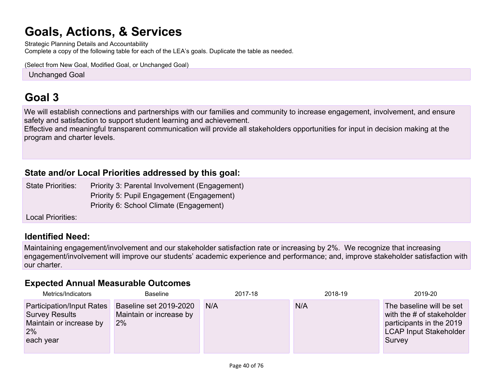# **Goals, Actions, & [Services](#page-58-0)**

Strategic Planning Details and Accountability Complete a copy of the following table for each of the LEA's goals. Duplicate the table as needed.

(Select from New Goal, Modified Goal, or Unchanged Goal)

**Unchanged Goal** 

## **[Goal](#page-59-0) 3**

We will establish connections and partnerships with our families and community to increase engagement, involvement, and ensure safety and satisfaction to support student learning and achievement.

Effective and meaningful transparent communication will provide all stakeholders opportunities for input in decision making at the program and charter levels.

### **State and/or Local Priorities [addressed](#page-64-0) by this goal:**

State Priorities: Priority 3: Parental Involvement (Engagement) Priority 5: Pupil Engagement (Engagement) Priority 6: School Climate (Engagement)

Local Priorities:

### **[Identified](#page-59-1) Need:**

Maintaining engagement/involvement and our stakeholder satisfaction rate or increasing by 2%. We recognize that increasing engagement/involvement will improve our students' academic experience and performance; and, improve stakeholder satisfaction with our charter.

### **Expected Annual [Measurable](#page-59-2) Outcomes**

| Metrics/Indicators                                                                               | <b>Baseline</b>                                         | 2017-18 | 2018-19 | 2019-20                                                                                                                      |
|--------------------------------------------------------------------------------------------------|---------------------------------------------------------|---------|---------|------------------------------------------------------------------------------------------------------------------------------|
| Participation/Input Rates<br><b>Survey Results</b><br>Maintain or increase by<br>2%<br>each year | Baseline set 2019-2020<br>Maintain or increase by<br>2% | N/A     | N/A     | The baseline will be set<br>with the # of stakeholder<br>participants in the 2019<br><b>LCAP Input Stakeholder</b><br>Survey |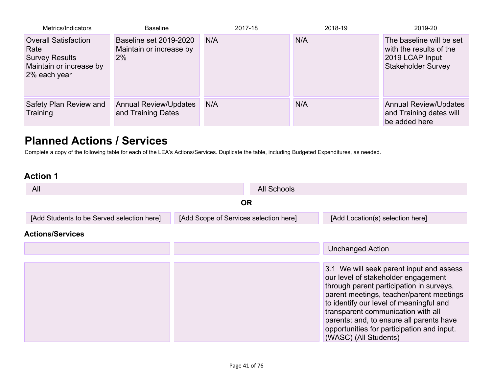| Metrics/Indicators                                                                                      | <b>Baseline</b>                                                | 2017-18 | 2018-19 | 2019-20                                                                                             |
|---------------------------------------------------------------------------------------------------------|----------------------------------------------------------------|---------|---------|-----------------------------------------------------------------------------------------------------|
| <b>Overall Satisfaction</b><br>Rate<br><b>Survey Results</b><br>Maintain or increase by<br>2% each year | <b>Baseline set 2019-2020</b><br>Maintain or increase by<br>2% | N/A     | N/A     | The baseline will be set<br>with the results of the<br>2019 LCAP Input<br><b>Stakeholder Survey</b> |
| Safety Plan Review and<br>Training                                                                      | <b>Annual Review/Updates</b><br>and Training Dates             | N/A     | N/A     | <b>Annual Review/Updates</b><br>and Training dates will<br>be added here                            |

## **Planned Actions / [Services](#page-59-3)**

Complete a copy of the following table for each of the LEA's Actions/Services. Duplicate the table, including Budgeted Expenditures, as needed.

| All                                        |                                        | <b>All Schools</b> |                                                                                                                                                                                                                                                                                                                                                                             |  |
|--------------------------------------------|----------------------------------------|--------------------|-----------------------------------------------------------------------------------------------------------------------------------------------------------------------------------------------------------------------------------------------------------------------------------------------------------------------------------------------------------------------------|--|
|                                            | <b>OR</b>                              |                    |                                                                                                                                                                                                                                                                                                                                                                             |  |
| [Add Students to be Served selection here] | [Add Scope of Services selection here] |                    | [Add Location(s) selection here]                                                                                                                                                                                                                                                                                                                                            |  |
| <b>Actions/Services</b>                    |                                        |                    |                                                                                                                                                                                                                                                                                                                                                                             |  |
|                                            |                                        |                    | <b>Unchanged Action</b>                                                                                                                                                                                                                                                                                                                                                     |  |
|                                            |                                        |                    |                                                                                                                                                                                                                                                                                                                                                                             |  |
|                                            |                                        |                    | 3.1 We will seek parent input and assess<br>our level of stakeholder engagement<br>through parent participation in surveys,<br>parent meetings, teacher/parent meetings<br>to identify our level of meaningful and<br>transparent communication with all<br>parents; and, to ensure all parents have<br>opportunities for participation and input.<br>(WASC) (All Students) |  |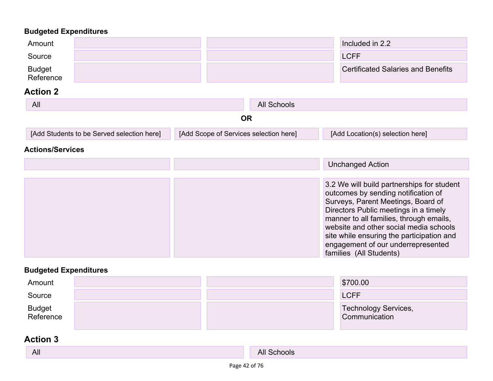| Amount<br>Source                           |                                        | Included in 2.2<br><b>LCFF</b>                                                                                                                                                                                                                                                                                                                                      |
|--------------------------------------------|----------------------------------------|---------------------------------------------------------------------------------------------------------------------------------------------------------------------------------------------------------------------------------------------------------------------------------------------------------------------------------------------------------------------|
| <b>Budget</b><br>Reference                 |                                        | <b>Certificated Salaries and Benefits</b>                                                                                                                                                                                                                                                                                                                           |
| <b>Action 2</b>                            |                                        |                                                                                                                                                                                                                                                                                                                                                                     |
| All                                        | <b>All Schools</b>                     |                                                                                                                                                                                                                                                                                                                                                                     |
|                                            | <b>OR</b>                              |                                                                                                                                                                                                                                                                                                                                                                     |
| [Add Students to be Served selection here] | [Add Scope of Services selection here] | [Add Location(s) selection here]                                                                                                                                                                                                                                                                                                                                    |
| <b>Actions/Services</b>                    |                                        |                                                                                                                                                                                                                                                                                                                                                                     |
|                                            |                                        | <b>Unchanged Action</b>                                                                                                                                                                                                                                                                                                                                             |
|                                            |                                        | 3.2 We will build partnerships for student<br>outcomes by sending notification of<br>Surveys, Parent Meetings, Board of<br>Directors Public meetings in a timely<br>manner to all families, through emails,<br>website and other social media schools<br>site while ensuring the participation and<br>engagement of our underrepresented<br>families (All Students) |

### **Budgeted Expenditures**

| Amount              |  | \$700.00                              |
|---------------------|--|---------------------------------------|
| Source              |  | <b>LCFF</b>                           |
| Budget<br>Reference |  | Technology Services,<br>Communication |

| <b>All</b> | All Schools |
|------------|-------------|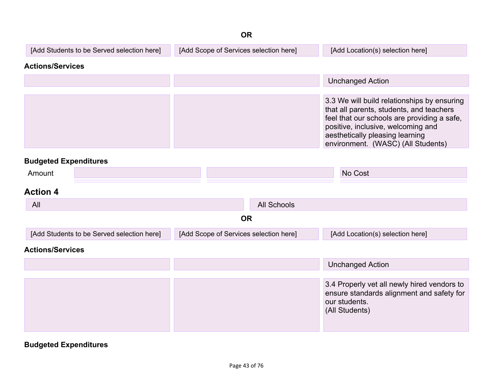|                                            | <b>OR</b>                              |                    |                                                                                                                                                                                                                                                       |
|--------------------------------------------|----------------------------------------|--------------------|-------------------------------------------------------------------------------------------------------------------------------------------------------------------------------------------------------------------------------------------------------|
| [Add Students to be Served selection here] | [Add Scope of Services selection here] |                    | [Add Location(s) selection here]                                                                                                                                                                                                                      |
| <b>Actions/Services</b>                    |                                        |                    |                                                                                                                                                                                                                                                       |
|                                            |                                        |                    | <b>Unchanged Action</b>                                                                                                                                                                                                                               |
|                                            |                                        |                    | 3.3 We will build relationships by ensuring<br>that all parents, students, and teachers<br>feel that our schools are providing a safe,<br>positive, inclusive, welcoming and<br>aesthetically pleasing learning<br>environment. (WASC) (All Students) |
| <b>Budgeted Expenditures</b>               |                                        |                    |                                                                                                                                                                                                                                                       |
| Amount                                     |                                        |                    | No Cost                                                                                                                                                                                                                                               |
| <b>Action 4</b>                            |                                        |                    |                                                                                                                                                                                                                                                       |
| All                                        |                                        | <b>All Schools</b> |                                                                                                                                                                                                                                                       |
|                                            | <b>OR</b>                              |                    |                                                                                                                                                                                                                                                       |
| [Add Students to be Served selection here] | [Add Scope of Services selection here] |                    | [Add Location(s) selection here]                                                                                                                                                                                                                      |
| <b>Actions/Services</b>                    |                                        |                    |                                                                                                                                                                                                                                                       |
|                                            |                                        |                    | <b>Unchanged Action</b>                                                                                                                                                                                                                               |
|                                            |                                        |                    | 3.4 Properly vet all newly hired vendors to<br>ensure standards alignment and safety for<br>our students.<br>(All Students)                                                                                                                           |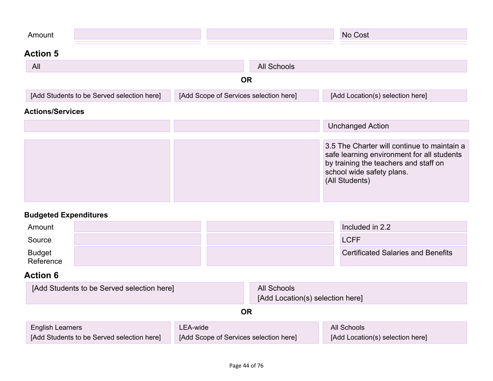| Amount                                     |                                        | No Cost                                                                                                                                                                           |
|--------------------------------------------|----------------------------------------|-----------------------------------------------------------------------------------------------------------------------------------------------------------------------------------|
| <b>Action 5</b>                            |                                        |                                                                                                                                                                                   |
| All                                        | <b>All Schools</b>                     |                                                                                                                                                                                   |
|                                            | <b>OR</b>                              |                                                                                                                                                                                   |
| [Add Students to be Served selection here] | [Add Scope of Services selection here] | [Add Location(s) selection here]                                                                                                                                                  |
| <b>Actions/Services</b>                    |                                        |                                                                                                                                                                                   |
|                                            |                                        | <b>Unchanged Action</b>                                                                                                                                                           |
|                                            |                                        | 3.5 The Charter will continue to maintain a<br>safe learning environment for all students<br>by training the teachers and staff on<br>school wide safety plans.<br>(All Students) |

| Amount              |  | Included in 2.2                           |
|---------------------|--|-------------------------------------------|
| Source              |  | <b>LCFF</b>                               |
| Budget<br>Reference |  | <b>Certificated Salaries and Benefits</b> |

| [Add Students to be Served selection here]                                                                                  |    | All Schools<br>[Add Location(s) selection here] |                                                 |
|-----------------------------------------------------------------------------------------------------------------------------|----|-------------------------------------------------|-------------------------------------------------|
|                                                                                                                             | OR |                                                 |                                                 |
| LEA-wide<br><b>English Learners</b><br>[Add Students to be Served selection here]<br>[Add Scope of Services selection here] |    |                                                 | All Schools<br>[Add Location(s) selection here] |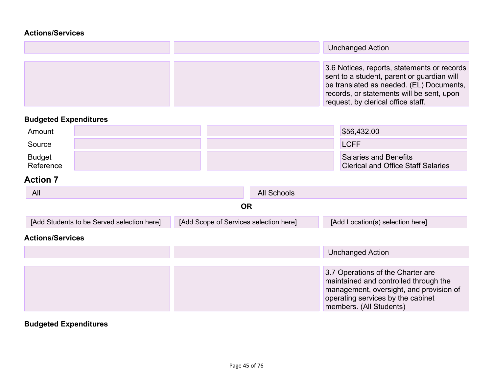### **[Actions/Services](#page-60-0)**

|  | <b>Unchanged Action</b>                                                                                                                                                                                                  |
|--|--------------------------------------------------------------------------------------------------------------------------------------------------------------------------------------------------------------------------|
|  |                                                                                                                                                                                                                          |
|  | 3.6 Notices, reports, statements or records<br>sent to a student, parent or guardian will<br>be translated as needed. (EL) Documents,<br>records, or statements will be sent, upon<br>request, by clerical office staff. |

## **Budgeted Expenditures**

| Amount                     |  | \$56,432.00                                                               |
|----------------------------|--|---------------------------------------------------------------------------|
| Source                     |  | <b>LCFF</b>                                                               |
| <b>Budget</b><br>Reference |  | <b>Salaries and Benefits</b><br><b>Clerical and Office Staff Salaries</b> |

### **Action 7**

| All                                        | All Schools                            |                                                                                                                                                                                       |  |
|--------------------------------------------|----------------------------------------|---------------------------------------------------------------------------------------------------------------------------------------------------------------------------------------|--|
|                                            | <b>OR</b>                              |                                                                                                                                                                                       |  |
| [Add Students to be Served selection here] | [Add Scope of Services selection here] | [Add Location(s) selection here]                                                                                                                                                      |  |
| <b>Actions/Services</b>                    |                                        |                                                                                                                                                                                       |  |
|                                            |                                        | <b>Unchanged Action</b>                                                                                                                                                               |  |
|                                            |                                        | 3.7 Operations of the Charter are<br>maintained and controlled through the<br>management, oversight, and provision of<br>operating services by the cabinet<br>members. (All Students) |  |

## **Budgeted Expenditures**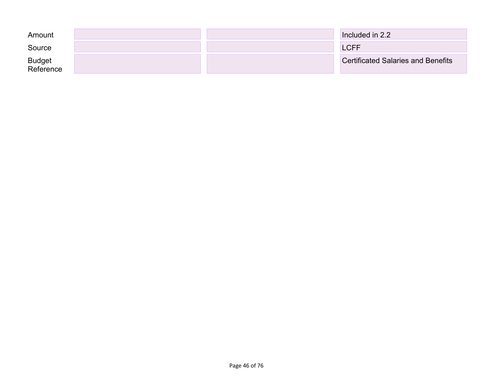| Amount                     |  | Included in 2.2                           |
|----------------------------|--|-------------------------------------------|
| Source                     |  | LCFF/                                     |
| <b>Budget</b><br>Reference |  | <b>Certificated Salaries and Benefits</b> |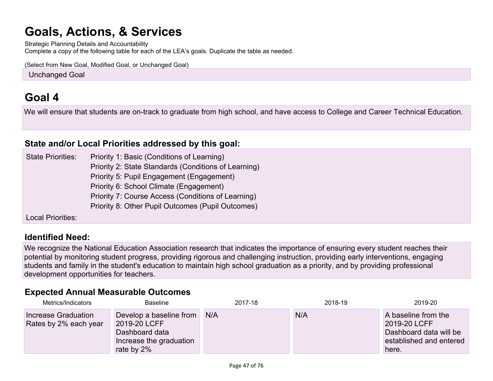# **Goals, Actions, & [Services](#page-58-0)**

Strategic Planning Details and Accountability Complete a copy of the following table for each of the LEA's goals. Duplicate the table as needed.

(Select from New Goal, Modified Goal, or Unchanged Goal)

**Unchanged Goal** 

## **[Goal](#page-59-0) 4**

We will ensure that students are on-track to graduate from high school, and have access to College and Career Technical Education.

### **State and/or Local Priorities [addressed](#page-64-0) by this goal:**

State Priorities: Priority 1: Basic (Conditions of Learning) Priority 2: State Standards (Conditions of Learning) Priority 5: Pupil Engagement (Engagement) Priority 6: School Climate (Engagement) Priority 7: Course Access (Conditions of Learning) Priority 8: Other Pupil Outcomes (Pupil Outcomes)

Local Priorities:

### **[Identified](#page-59-1) Need:**

We recognize the National Education Association research that indicates the importance of ensuring every student reaches their potential by monitoring student progress, providing rigorous and challenging instruction, providing early interventions, engaging students and family in the student's education to maintain high school graduation as a priority, and by providing professional development opportunities for teachers.

### **Expected Annual [Measurable](#page-59-2) Outcomes**

| Metrics/Indicators                           | Baseline                                                                                           | 2017-18 | 2018-19 | 2019-20                                                                                           |
|----------------------------------------------|----------------------------------------------------------------------------------------------------|---------|---------|---------------------------------------------------------------------------------------------------|
| Increase Graduation<br>Rates by 2% each year | Develop a baseline from<br>2019-20 LCFF<br>Dashboard data<br>Increase the graduation<br>rate by 2% | N/A     | N/A     | A baseline from the<br>2019-20 LCFF<br>Dashboard data will be<br>established and entered<br>here. |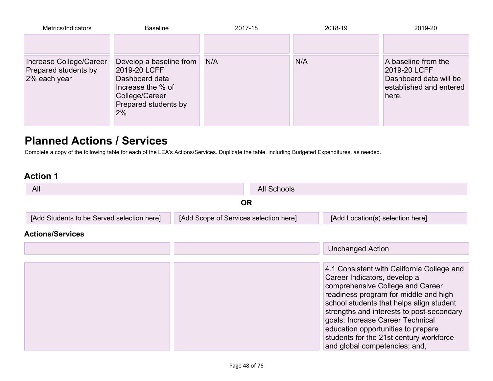| Metrics/Indicators                                              | <b>Baseline</b>                                                                                                                | 2017-18 | 2018-19 | 2019-20                                                                                           |
|-----------------------------------------------------------------|--------------------------------------------------------------------------------------------------------------------------------|---------|---------|---------------------------------------------------------------------------------------------------|
|                                                                 |                                                                                                                                |         |         |                                                                                                   |
| Increase College/Career<br>Prepared students by<br>2% each year | Develop a baseline from<br>2019-20 LCFF<br>Dashboard data<br>Increase the % of<br>College/Career<br>Prepared students by<br>2% | N/A     | N/A     | A baseline from the<br>2019-20 LCFF<br>Dashboard data will be<br>established and entered<br>here. |

## **Planned Actions / [Services](#page-59-3)**

Complete a copy of the following table for each of the LEA's Actions/Services. Duplicate the table, including Budgeted Expenditures, as needed.

| All                                        |                                        | <b>All Schools</b> |                                                                                                                                                                                                                                                                                                                                                                                                        |  |  |
|--------------------------------------------|----------------------------------------|--------------------|--------------------------------------------------------------------------------------------------------------------------------------------------------------------------------------------------------------------------------------------------------------------------------------------------------------------------------------------------------------------------------------------------------|--|--|
|                                            | <b>OR</b>                              |                    |                                                                                                                                                                                                                                                                                                                                                                                                        |  |  |
| [Add Students to be Served selection here] | [Add Scope of Services selection here] |                    | [Add Location(s) selection here]                                                                                                                                                                                                                                                                                                                                                                       |  |  |
| <b>Actions/Services</b>                    |                                        |                    |                                                                                                                                                                                                                                                                                                                                                                                                        |  |  |
|                                            |                                        |                    | <b>Unchanged Action</b>                                                                                                                                                                                                                                                                                                                                                                                |  |  |
|                                            |                                        |                    |                                                                                                                                                                                                                                                                                                                                                                                                        |  |  |
|                                            |                                        |                    | 4.1 Consistent with California College and<br>Career Indicators, develop a<br>comprehensive College and Career<br>readiness program for middle and high<br>school students that helps align student<br>strengths and interests to post-secondary<br>goals; Increase Career Technical<br>education opportunities to prepare<br>students for the 21st century workforce<br>and global competencies; and, |  |  |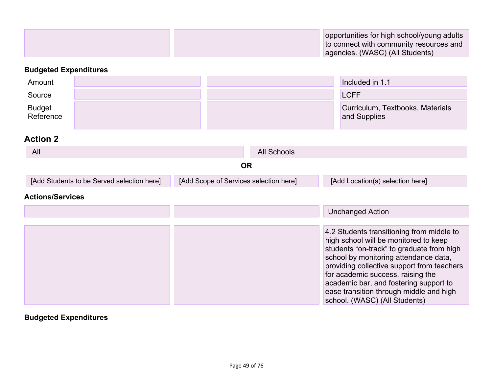| opportunities for high school/young adults |
|--------------------------------------------|
| to connect with community resources and    |
| agencies. (WASC) (All Students)            |

| Amount                     |                                            |                                        |             | Included in 1.1                                                                                                                                                                                                                                                                                                                                  |
|----------------------------|--------------------------------------------|----------------------------------------|-------------|--------------------------------------------------------------------------------------------------------------------------------------------------------------------------------------------------------------------------------------------------------------------------------------------------------------------------------------------------|
| Source                     |                                            |                                        |             | <b>LCFF</b>                                                                                                                                                                                                                                                                                                                                      |
| <b>Budget</b><br>Reference |                                            |                                        |             | Curriculum, Textbooks, Materials<br>and Supplies                                                                                                                                                                                                                                                                                                 |
| <b>Action 2</b>            |                                            |                                        |             |                                                                                                                                                                                                                                                                                                                                                  |
| All                        |                                            |                                        | All Schools |                                                                                                                                                                                                                                                                                                                                                  |
|                            |                                            | <b>OR</b>                              |             |                                                                                                                                                                                                                                                                                                                                                  |
|                            | [Add Students to be Served selection here] | [Add Scope of Services selection here] |             | [Add Location(s) selection here]                                                                                                                                                                                                                                                                                                                 |
| <b>Actions/Services</b>    |                                            |                                        |             |                                                                                                                                                                                                                                                                                                                                                  |
|                            |                                            |                                        |             | <b>Unchanged Action</b>                                                                                                                                                                                                                                                                                                                          |
|                            |                                            |                                        |             |                                                                                                                                                                                                                                                                                                                                                  |
|                            |                                            |                                        |             | 4.2 Students transitioning from middle to<br>high school will be monitored to keep<br>students "on-track" to graduate from high<br>school by monitoring attendance data,<br>providing collective support from teachers<br>for academic success, raising the<br>academic bar, and fostering support to<br>ease transition through middle and high |

### **Budgeted Expenditures**

school. (WASC) (All Students)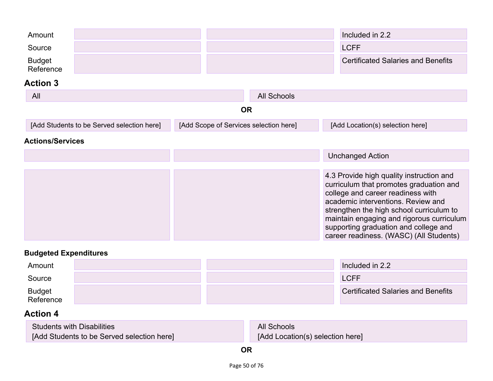| Amount<br>Source<br><b>Budget</b> |                                            |                                        |                    | Included in 2.2<br><b>LCFF</b><br><b>Certificated Salaries and Benefits</b>                                                                                                                                                                                                                                                                 |
|-----------------------------------|--------------------------------------------|----------------------------------------|--------------------|---------------------------------------------------------------------------------------------------------------------------------------------------------------------------------------------------------------------------------------------------------------------------------------------------------------------------------------------|
| Reference                         |                                            |                                        |                    |                                                                                                                                                                                                                                                                                                                                             |
| <b>Action 3</b>                   |                                            |                                        |                    |                                                                                                                                                                                                                                                                                                                                             |
| All                               |                                            |                                        | <b>All Schools</b> |                                                                                                                                                                                                                                                                                                                                             |
|                                   |                                            | <b>OR</b>                              |                    |                                                                                                                                                                                                                                                                                                                                             |
|                                   | [Add Students to be Served selection here] | [Add Scope of Services selection here] |                    | [Add Location(s) selection here]                                                                                                                                                                                                                                                                                                            |
| <b>Actions/Services</b>           |                                            |                                        |                    |                                                                                                                                                                                                                                                                                                                                             |
|                                   |                                            |                                        |                    | <b>Unchanged Action</b>                                                                                                                                                                                                                                                                                                                     |
|                                   |                                            |                                        |                    | 4.3 Provide high quality instruction and<br>curriculum that promotes graduation and<br>college and career readiness with<br>academic interventions. Review and<br>strengthen the high school curriculum to<br>maintain engaging and rigorous curriculum<br>supporting graduation and college and<br>career readiness. (WASC) (All Students) |

| Amount              |  | Included in 2.2                           |
|---------------------|--|-------------------------------------------|
| Source              |  | <b>LCFF</b>                               |
| Budget<br>Reference |  | <b>Certificated Salaries and Benefits</b> |

| <b>Students with Disabilities</b>          | <b>All Schools</b>               |
|--------------------------------------------|----------------------------------|
| [Add Students to be Served selection here] | [Add Location(s) selection here] |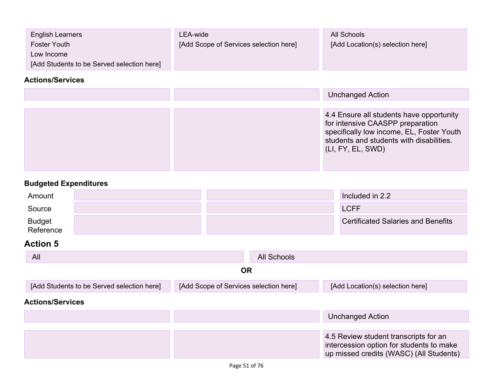| <b>English Learners</b>                    | LEA-wide                               | All Schools                      |
|--------------------------------------------|----------------------------------------|----------------------------------|
| Foster Youth                               | [Add Scope of Services selection here] | [Add Location(s) selection here] |
| Low Income                                 |                                        |                                  |
| [Add Students to be Served selection here] |                                        |                                  |

### **[Actions/Services](#page-60-0)**

|  | <b>Unchanged Action</b>                                                                                                                                                                    |
|--|--------------------------------------------------------------------------------------------------------------------------------------------------------------------------------------------|
|  | 4.4 Ensure all students have opportunity<br>for intensive CAASPP preparation<br>specifically low income, EL, Foster Youth<br>students and students with disabilities.<br>(LI, FY, EL, SWD) |

## **Budgeted Expenditures**

| Amount              |  | Included in 2.2                           |
|---------------------|--|-------------------------------------------|
| Source              |  | <b>LCFF</b>                               |
| Budget<br>Reference |  | <b>Certificated Salaries and Benefits</b> |

| All                                        | All Schools                            |                                                                                                                              |
|--------------------------------------------|----------------------------------------|------------------------------------------------------------------------------------------------------------------------------|
|                                            | <b>OR</b>                              |                                                                                                                              |
| [Add Students to be Served selection here] | [Add Scope of Services selection here] | [Add Location(s) selection here]                                                                                             |
| <b>Actions/Services</b>                    |                                        |                                                                                                                              |
|                                            |                                        | <b>Unchanged Action</b>                                                                                                      |
|                                            |                                        |                                                                                                                              |
|                                            |                                        | 4.5 Review student transcripts for an<br>intercession option for students to make<br>up missed credits (WASC) (All Students) |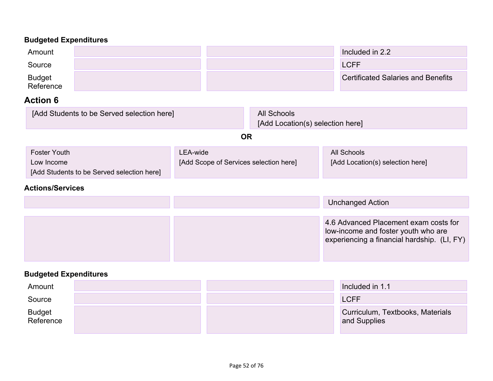| Amount              |  | Included in 2.2                           |
|---------------------|--|-------------------------------------------|
| Source              |  | <b>LCFF</b>                               |
| Budget<br>Reference |  | <b>Certificated Salaries and Benefits</b> |

## **Action 6**

| [Add Students to be Served selection here]               |                                        | All Schools<br>[Add Location(s) selection here] |                                  |
|----------------------------------------------------------|----------------------------------------|-------------------------------------------------|----------------------------------|
|                                                          | ΟR                                     |                                                 |                                  |
| <b>Foster Youth</b>                                      | LEA-wide                               |                                                 | All Schools                      |
| Low Income<br>[Add Students to be Served selection here] | [Add Scope of Services selection here] |                                                 | [Add Location(s) selection here] |

### **[Actions/Services](#page-60-0)**

|  | <b>Unchanged Action</b>                                                                                                     |
|--|-----------------------------------------------------------------------------------------------------------------------------|
|  | 4.6 Advanced Placement exam costs for<br>low-income and foster youth who are<br>experiencing a financial hardship. (LI, FY) |
|  |                                                                                                                             |

### **Budgeted Expenditures**

| Amount              |  | Included in 1.1                                  |
|---------------------|--|--------------------------------------------------|
| Source              |  | <b>LCFF</b>                                      |
| Budget<br>Reference |  | Curriculum, Textbooks, Materials<br>and Supplies |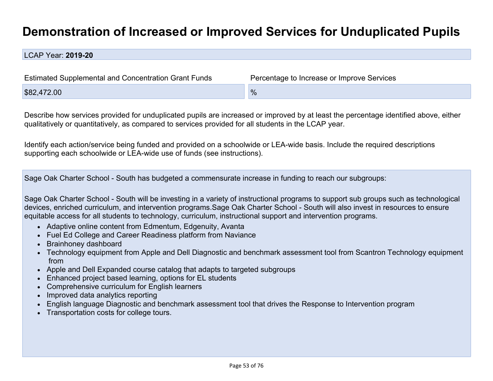## **[Demonstration](#page-62-0) of Increased or Improved Services for Unduplicated Pupils**

LCAP Year: **2019-20**

| Estimated Supplemental and Concentration Grant Funds | Percentage to Increase or Improve Services |  |  |  |
|------------------------------------------------------|--------------------------------------------|--|--|--|
| \$82,472.00                                          | $\frac{9}{6}$                              |  |  |  |

Describe how services provided for unduplicated pupils are increased or improved by at least the percentage identified above, either qualitatively or quantitatively, as compared to services provided for all students in the LCAP year.

<span id="page-52-0"></span>Identify each action/service being funded and provided on a schoolwide or LEA-wide basis. Include the required descriptions supporting each schoolwide or LEA-wide use of funds (see instructions).

Sage Oak Charter School - South has budgeted a commensurate increase in funding to reach our subgroups:

Sage Oak Charter School - South will be investing in a variety of instructional programs to support sub groups such as technological devices, enriched curriculum, and intervention programs.Sage Oak Charter School - South will also invest in resources to ensure equitable access for all students to technology, curriculum, instructional support and intervention programs.

- <span id="page-52-1"></span>• Adaptive online content from Edmentum, Edgenuity, Avanta
- Fuel Ed College and Career Readiness platform from Naviance
- Brainhoney dashboard
- Technology equipment from Apple and Dell Diagnostic and benchmark assessment tool from Scantron Technology equipment from
- Apple and Dell Expanded course catalog that adapts to targeted subgroups
- Enhanced project based learning, options for EL students
- Comprehensive curriculum for English learners
- Improved data analytics reporting
- English language Diagnostic and benchmark assessment tool that drives the Response to Intervention program
- Transportation costs for college tours.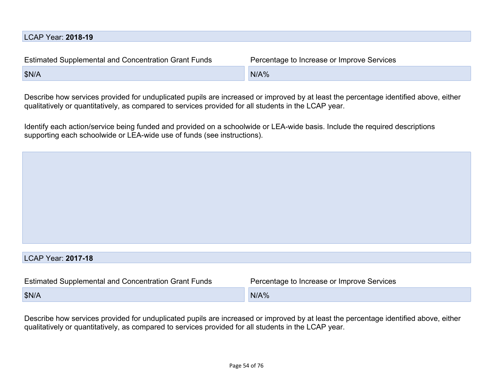| Percentage to Increase or Improve Services |
|--------------------------------------------|
| N/A%                                       |
|                                            |

Describe how services provided for unduplicated pupils are increased or improved by at least the percentage identified above, either qualitatively or quantitatively, as compared to services provided for all students in the LCAP year.

Identify each action/service being funded and provided on a schoolwide or LEA-wide basis. Include the required descriptions supporting each schoolwide or LEA-wide use of funds (see instructions).

### LCAP Year: **2017-18**

| <b>Estimated Supplemental and Concentration Grant Funds</b> | Percentage to Increase or Improve Services |  |  |
|-------------------------------------------------------------|--------------------------------------------|--|--|
| SN/A                                                        | $N/AY_0$                                   |  |  |

Describe how services provided for unduplicated pupils are increased or improved by at least the percentage identified above, either qualitatively or quantitatively, as compared to services provided for all students in the LCAP year.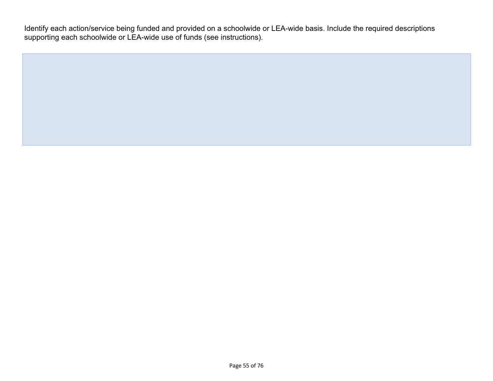Identify each action/service being funded and provided on a schoolwide or LEA-wide basis. Include the required descriptions supporting each schoolwide or LEA-wide use of funds (see instructions).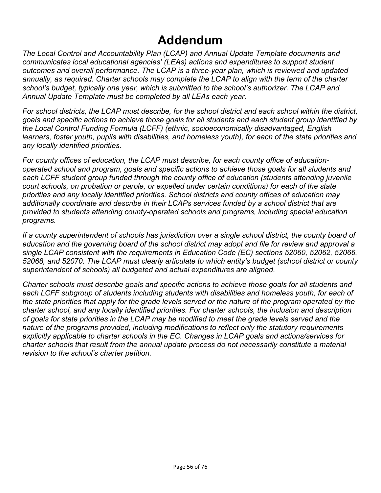# **[Addendum](#page-3-0)**

*The Local Control and Accountability Plan (LCAP) and Annual Update Template documents and communicates local educational agencies' (LEAs) actions and expenditures to support student outcomes and overall performance. The LCAP is a three-year plan, which is reviewed and updated annually, as required. Charter schools may complete the LCAP to align with the term of the charter school's budget, typically one year, which is submitted to the school's authorizer. The LCAP and Annual Update Template must be completed by all LEAs each year.*

For school districts, the LCAP must describe, for the school district and each school within the district. *goals and specific actions to achieve those goals for all students and each student group identified by the Local Control Funding Formula (LCFF) (ethnic, socioeconomically disadvantaged, English learners, foster youth, pupils with disabilities, and homeless youth), for each of the state priorities and any locally identified priorities.*

*For county offices of education, the LCAP must describe, for each county office of educationoperated school and program, goals and specific actions to achieve those goals for all students and each LCFF student group funded through the county office of education (students attending juvenile court schools, on probation or parole, or expelled under certain conditions) for each of the state priorities and any locally identified priorities. School districts and county offices of education may additionally coordinate and describe in their LCAPs services funded by a school district that are provided to students attending county-operated schools and programs, including special education programs.*

*If a county superintendent of schools has jurisdiction over a single school district, the county board of* education and the governing board of the school district may adopt and file for review and approval a *single LCAP consistent with the requirements in Education Code (EC) sections 52060, 52062, 52066, 52068, and 52070. The LCAP must clearly articulate to which entity's budget (school district or county superintendent of schools) all budgeted and actual expenditures are aligned.*

*Charter schools must describe goals and specific actions to achieve those goals for all students and each LCFF subgroup of students including students with disabilities and homeless youth, for each of* the state priorities that apply for the grade levels served or the nature of the program operated by the *charter school, and any locally identified priorities. For charter schools, the inclusion and description* of goals for state priorities in the LCAP may be modified to meet the grade levels served and the *nature of the programs provided, including modifications to reflect only the statutory requirements explicitly applicable to charter schools in the EC. Changes in LCAP goals and actions/services for charter schools that result from the annual update process do not necessarily constitute a material revision to the school's charter petition.*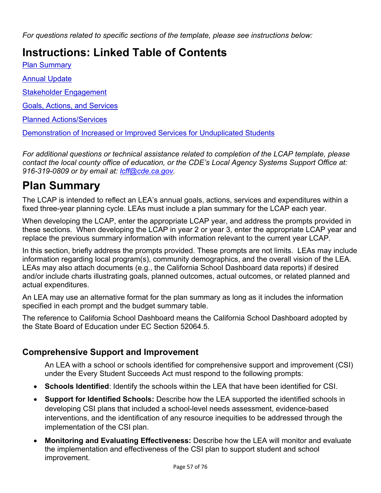*For questions related to specific sections of the template, please see instructions below:*

## **Instructions: Linked Table of Contents**

Plan [Summary](#page-56-0)

Annual [Update](#page-57-0)

Stakeholder [Engagement](#page-57-1)

Goals, Actions, and [Services](#page-58-1)

Planned [Actions/Services](#page-59-4)

[Demonstration](#page-62-3) of Increased or Improved Services for Unduplicated Students

*For additional questions or technical assistance related to completion of the LCAP template, please contact the local county office of education, or the CDE's Local Agency Systems Support Office at: 916-319-0809 or by email at: [lcff@cde.ca.gov](mailto:lcff@cde.ca.gov).*

## <span id="page-56-0"></span>**Plan Summary**

The LCAP is intended to reflect an LEA's annual goals, actions, services and expenditures within a fixed three-year planning cycle. LEAs must include a plan summary for the LCAP each year.

When developing the LCAP, enter the appropriate LCAP year, and address the prompts provided in these sections. When developing the LCAP in year 2 or year 3, enter the appropriate LCAP year and replace the previous summary information with information relevant to the current year LCAP.

In this section, briefly address the prompts provided. These prompts are not limits. LEAs may include information regarding local program(s), community demographics, and the overall vision of the LEA. LEAs may also attach documents (e.g., the California School Dashboard data reports) if desired and/or include charts illustrating goals, planned outcomes, actual outcomes, or related planned and actual expenditures.

An LEA may use an alternative format for the plan summary as long as it includes the information specified in each prompt and the budget summary table.

The reference to California School Dashboard means the California School Dashboard adopted by the State Board of Education under EC Section 52064.5.

### **[Comprehensive](#page-6-0) Support and Improvement**

An LEA with a school or schools identified for comprehensive support and improvement (CSI) under the Every Student Succeeds Act must respond to the following prompts:

- **Schools Identified**: Identify the schools within the LEA that have been identified for CSI.
- **Support for Identified Schools:** Describe how the LEA supported the identified schools in developing CSI plans that included a school-level needs assessment, evidence-based interventions, and the identification of any resource inequities to be addressed through the implementation of the CSI plan.
- **Monitoring and Evaluating Effectiveness:** Describe how the LEA will monitor and evaluate the implementation and effectiveness of the CSI plan to support student and school improvement.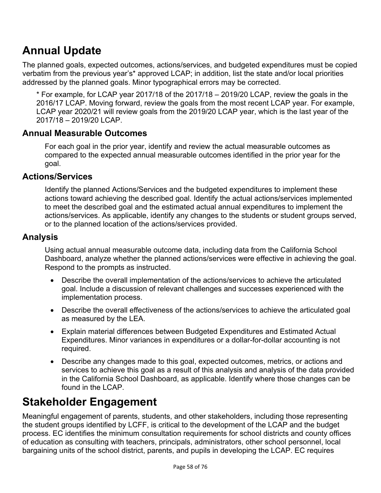## <span id="page-57-0"></span>**Annual Update**

The planned goals, expected outcomes, actions/services, and budgeted expenditures must be copied verbatim from the previous year's\* approved LCAP; in addition, list the state and/or local priorities addressed by the planned goals. Minor typographical errors may be corrected.

\* For example, for LCAP year 2017/18 of the 2017/18 – 2019/20 LCAP, review the goals in the 2016/17 LCAP. Moving forward, review the goals from the most recent LCAP year. For example, LCAP year 2020/21 will review goals from the 2019/20 LCAP year, which is the last year of the 2017/18 – 2019/20 LCAP.

### **Annual Measurable Outcomes**

For each goal in the prior year, identify and review the actual measurable outcomes as compared to the expected annual measurable outcomes identified in the prior year for the goal.

### **Actions/Services**

Identify the planned Actions/Services and the budgeted expenditures to implement these actions toward achieving the described goal. Identify the actual actions/services implemented to meet the described goal and the estimated actual annual expenditures to implement the actions/services. As applicable, identify any changes to the students or student groups served, or to the planned location of the actions/services provided.

### **Analysis**

Using actual annual measurable outcome data, including data from the California School Dashboard, analyze whether the planned actions/services were effective in achieving the goal. Respond to the prompts as instructed.

- Describe the overall implementation of the actions/services to achieve the articulated goal. Include a discussion of relevant challenges and successes experienced with the implementation process.
- Describe the overall effectiveness of the actions/services to achieve the articulated goal as measured by the LEA.
- Explain material differences between Budgeted Expenditures and Estimated Actual Expenditures. Minor variances in expenditures or a dollar-for-dollar accounting is not required.
- Describe any changes made to this goal, expected outcomes, metrics, or actions and services to achieve this goal as a result of this analysis and analysis of the data provided in the California School Dashboard, as applicable. Identify where those changes can be found in the LCAP.

## <span id="page-57-1"></span>**Stakeholder [Engagement](#page-25-0)**

Meaningful engagement of parents, students, and other stakeholders, including those representing the student groups identified by LCFF, is critical to the development of the LCAP and the budget process. EC identifies the minimum consultation requirements for school districts and county offices of education as consulting with teachers, principals, administrators, other school personnel, local bargaining units of the school district, parents, and pupils in developing the LCAP. EC requires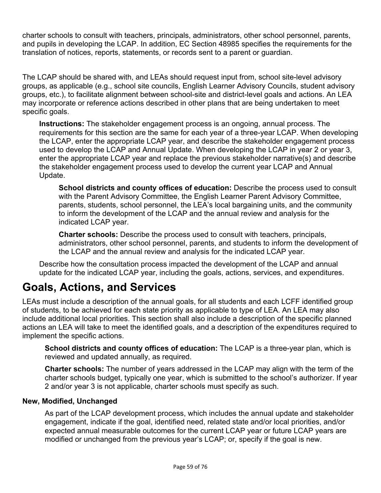charter schools to consult with teachers, principals, administrators, other school personnel, parents, and pupils in developing the LCAP. In addition, EC Section 48985 specifies the requirements for the translation of notices, reports, statements, or records sent to a parent or guardian.

The LCAP should be shared with, and LEAs should request input from, school site-level advisory groups, as applicable (e.g., school site councils, English Learner Advisory Councils, student advisory groups, etc.), to facilitate alignment between school-site and district-level goals and actions. An LEA may incorporate or reference actions described in other plans that are being undertaken to meet specific goals.

**Instructions:** The stakeholder engagement process is an ongoing, annual process. The requirements for this section are the same for each year of a three-year LCAP. When developing the LCAP, enter the appropriate LCAP year, and describe the stakeholder engagement process used to develop the LCAP and Annual Update. When developing the LCAP in year 2 or year 3, enter the appropriate LCAP year and replace the previous stakeholder narrative(s) and describe the stakeholder engagement process used to develop the current year LCAP and Annual Update.

<span id="page-58-0"></span>**School districts and county offices of education:** Describe the process used to consult with the Parent Advisory Committee, the English Learner Parent Advisory Committee, parents, students, school personnel, the LEA's local bargaining units, and the community to inform the development of the LCAP and the annual review and analysis for the indicated LCAP year.

**Charter schools:** Describe the process used to consult with teachers, principals, administrators, other school personnel, parents, and students to inform the development of the LCAP and the annual review and analysis for the indicated LCAP year.

Describe how the consultation process impacted the development of the LCAP and annual update for the indicated LCAP year, including the goals, actions, services, and expenditures.

## <span id="page-58-1"></span>**Goals, Actions, and [Services](#page-26-0)**

LEAs must include a description of the annual goals, for all students and each LCFF identified group of students, to be achieved for each state priority as applicable to type of LEA. An LEA may also include additional local priorities. This section shall also include a description of the specific planned actions an LEA will take to meet the identified goals, and a description of the expenditures required to implement the specific actions.

**School districts and county offices of education:** The LCAP is a three-year plan, which is reviewed and updated annually, as required.

**Charter schools:** The number of years addressed in the LCAP may align with the term of the charter schools budget, typically one year, which is submitted to the school's authorizer. If year 2 and/or year 3 is not applicable, charter schools must specify as such.

#### **New, Modified, Unchanged**

As part of the LCAP development process, which includes the annual update and stakeholder engagement, indicate if the goal, identified need, related state and/or local priorities, and/or expected annual measurable outcomes for the current LCAP year or future LCAP years are modified or unchanged from the previous year's LCAP; or, specify if the goal is new.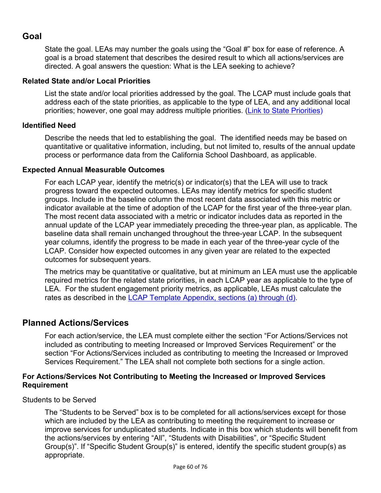### <span id="page-59-2"></span><span id="page-59-1"></span><span id="page-59-0"></span>**Goal**

State the goal. LEAs may number the goals using the "Goal #" box for ease of reference. A goal is a broad statement that describes the desired result to which all actions/services are directed. A goal answers the question: What is the LEA seeking to achieve?

### **Related State and/or Local Priorities**

List the state and/or local priorities addressed by the goal. The LCAP must include goals that address each of the state priorities, as applicable to the type of LEA, and any additional local priorities; however, one goal may address multiple priorities. (Link to State Priorities)

#### **Identified Need**

Describe the needs that led to establishing the goal. The identified needs may be based on quantitative or qualitative information, including, but not limited to, results of the annual update process or performance data from the California School Dashboard, as applicable.

#### **Expected Annual Measurable Outcomes**

<span id="page-59-3"></span>For each LCAP year, identify the metric(s) or indicator(s) that the LEA will use to track progress toward the expected outcomes. LEAs may identify metrics for specific student groups. Include in the baseline column the most recent data associated with this metric or indicator available at the time of adoption of the LCAP for the first year of the three-year plan. The most recent data associated with a metric or indicator includes data as reported in the annual update of the LCAP year immediately preceding the three-year plan, as applicable. The baseline data shall remain unchanged throughout the three-year LCAP. In the subsequent year columns, identify the progress to be made in each year of the three-year cycle of the LCAP. Consider how expected outcomes in any given year are related to the expected outcomes for subsequent years.

The metrics may be quantitative or qualitative, but at minimum an LEA must use the applicable required metrics for the related state priorities, in each LCAP year as applicable to the type of LEA. For the student engagement priority metrics, as applicable, LEAs must calculate the rates as described in the LCAP Template Appendix, sections (a) through (d).

### <span id="page-59-4"></span>**Planned Actions/Services**

For each action/service, the LEA must complete either the section "For Actions/Services not included as contributing to meeting Increased or Improved Services Requirement" or the section "For Actions/Services included as contributing to meeting the Increased or Improved Services Requirement." The LEA shall not complete both sections for a single action.

#### **For Actions/Services Not Contributing to Meeting the Increased or Improved Services Requirement**

<span id="page-59-5"></span>Students to be Served

The "Students to be Served" box is to be completed for all actions/services except for those which are included by the LEA as contributing to meeting the requirement to increase or improve services for unduplicated students. Indicate in this box which students will benefit from the actions/services by entering "All", "Students with Disabilities", or "Specific Student Group(s)". If "Specific Student Group(s)" is entered, identify the specific student group(s) as appropriate.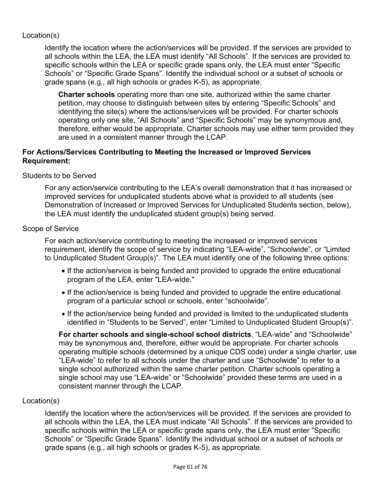### <span id="page-60-0"></span>Location(s)

Identify the location where the action/services will be provided. If the services are provided to all schools within the LEA, the LEA must identify "All Schools". If the services are provided to specific schools within the LEA or specific grade spans only, the LEA must enter "Specific Schools" or "Specific Grade Spans". Identify the individual school or a subset of schools or grade spans (e.g., all high schools or grades K-5), as appropriate.

**Charter schools** operating more than one site, authorized within the same charter petition, may choose to distinguish between sites by entering "Specific Schools" and identifying the site(s) where the actions/services will be provided. For charter schools operating only one site, "All Schools" and "Specific Schools" may be synonymous and, therefore, either would be appropriate. Charter schools may use either term provided they are used in a consistent manner through the LCAP.

#### **For Actions/Services Contributing to Meeting the Increased or Improved Services Requirement:**

#### [Students](#page-59-5) to be Served

For any action/service contributing to the LEA's overall demonstration that it has increased or improved services for unduplicated students above what is provided to all students (see Demonstration of Increased or Improved Services for Unduplicated Students section, below), the LEA must identify the unduplicated student group(s) being served.

#### Scope of Service

For each action/service contributing to meeting the increased or improved services requirement, identify the scope of service by indicating "LEA-wide", "Schoolwide", or "Limited to Unduplicated Student Group(s)". The LEA must identify one of the following three options:

- If the action/service is being funded and provided to upgrade the entire educational program of the LEA, enter "LEA-wide."
- If the action/service is being funded and provided to upgrade the entire educational program of a particular school or schools, enter "schoolwide".
- If the action/service being funded and provided is limited to the unduplicated students identified in "Students to be Served", enter "Limited to Unduplicated Student Group(s)".

**For charter schools and single-school school districts**, "LEA-wide" and "Schoolwide" may be synonymous and, therefore, either would be appropriate. For charter schools operating multiple schools (determined by a unique CDS code) under a single charter, use "LEA-wide" to refer to all schools under the charter and use "Schoolwide" to refer to a single school authorized within the same charter petition. Charter schools operating a single school may use "LEA-wide" or "Schoolwide" provided these terms are used in a consistent manner through the LCAP.

#### Location(s)

Identify the location where the action/services will be provided. If the services are provided to all schools within the LEA, the LEA must indicate "All Schools". If the services are provided to specific schools within the LEA or specific grade spans only, the LEA must enter "Specific Schools" or "Specific Grade Spans". Identify the individual school or a subset of schools or grade spans (e.g., all high schools or grades K-5), as appropriate.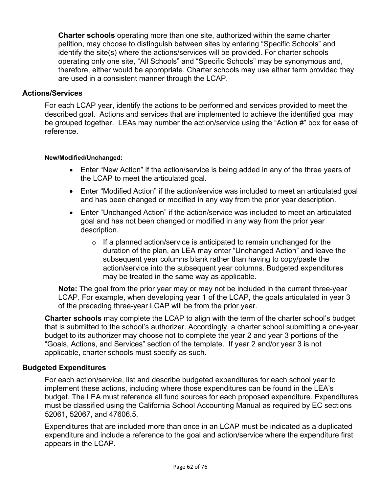**Charter schools** operating more than one site, authorized within the same charter petition, may choose to distinguish between sites by entering "Specific Schools" and identify the site(s) where the actions/services will be provided. For charter schools operating only one site, "All Schools" and "Specific Schools" may be synonymous and, therefore, either would be appropriate. Charter schools may use either term provided they are used in a consistent manner through the LCAP.

#### **Actions/Services**

For each LCAP year, identify the actions to be performed and services provided to meet the described goal. Actions and services that are implemented to achieve the identified goal may be grouped together. LEAs may number the action/service using the "Action #" box for ease of reference.

#### **New/Modified/Unchanged:**

- Enter "New Action" if the action/service is being added in any of the three years of the LCAP to meet the articulated goal.
- Enter "Modified Action" if the action/service was included to meet an articulated goal and has been changed or modified in any way from the prior year description.
- Enter "Unchanged Action" if the action/service was included to meet an articulated goal and has not been changed or modified in any way from the prior year description.
	- $\circ$  If a planned action/service is anticipated to remain unchanged for the duration of the plan, an LEA may enter "Unchanged Action" and leave the subsequent year columns blank rather than having to copy/paste the action/service into the subsequent year columns. Budgeted expenditures may be treated in the same way as applicable.

**Note:** The goal from the prior year may or may not be included in the current three-year LCAP. For example, when developing year 1 of the LCAP, the goals articulated in year 3 of the preceding three-year LCAP will be from the prior year.

**Charter schools** may complete the LCAP to align with the term of the charter school's budget that is submitted to the school's authorizer. Accordingly, a charter school submitting a one-year budget to its authorizer may choose not to complete the year 2 and year 3 portions of the "Goals, Actions, and Services" section of the template. If year 2 and/or year 3 is not applicable, charter schools must specify as such.

#### **Budgeted Expenditures**

For each action/service, list and describe budgeted expenditures for each school year to implement these actions, including where those expenditures can be found in the LEA's budget. The LEA must reference all fund sources for each proposed expenditure. Expenditures must be classified using the California School Accounting Manual as required by EC sections 52061, 52067, and 47606.5.

Expenditures that are included more than once in an LCAP must be indicated as a duplicated expenditure and include a reference to the goal and action/service where the expenditure first appears in the LCAP.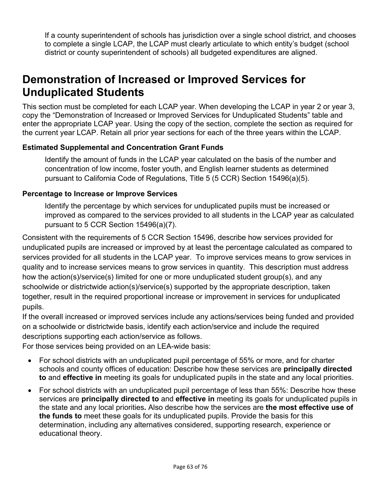<span id="page-62-1"></span><span id="page-62-0"></span>If a county superintendent of schools has jurisdiction over a single school district, and chooses to complete a single LCAP, the LCAP must clearly articulate to which entity's budget (school district or county superintendent of schools) all budgeted expenditures are aligned.

## <span id="page-62-3"></span><span id="page-62-2"></span>**[Demonstration](#page-52-0) of Increased or Improved Services for [Unduplicated](#page-52-0) Student[s](#page-52-0)**

This section must be completed for each LCAP year. When developing the LCAP in year 2 or year 3, copy the "Demonstration of Increased or Improved Services for Unduplicated Students" table and enter the appropriate LCAP year. Using the copy of the section, complete the section as required for the current year LCAP. Retain all prior year sections for each of the three years within the LCAP.

### <span id="page-62-4"></span>**Estimated Supplemental and [Concentration](#page-62-4) Grant Fund[s](#page-62-4)**

Identify the amount of funds in the LCAP year calculated on the basis of the number and concentration of low income, foster youth, and English learner students as determined pursuant to California Code of Regulations, Title 5 (5 CCR) Section 15496(a)(5).

### **[Percentage](#page-52-1) to Increase or Improve Service[s](#page-52-1)**

Identify the percentage by which services for unduplicated pupils must be increased or improved as compared to the services provided to all students in the LCAP year as calculated pursuant to 5 CCR Section 15496(a)(7).

Consistent with the requirements of 5 CCR Section 15496, describe how services provided for unduplicated pupils are increased or improved by at least the percentage calculated as compared to services provided for all students in the LCAP year. To improve services means to grow services in quality and to increase services means to grow services in quantity. This description must address how the action(s)/service(s) limited for one or more unduplicated student group(s), and any schoolwide or districtwide action(s)/service(s) supported by the appropriate description, taken together, result in the required proportional increase or improvement in services for unduplicated pupils.

If the overall increased or improved services include any actions/services being funded and provided on a schoolwide or districtwide basis, identify each action/service and include the required descriptions supporting each action/service as follows.

For those services being provided on an LEA-wide basis:

- For school districts with an unduplicated pupil percentage of 55% or more, and for charter schools and county offices of education: Describe how these services are **principally directed to** and **effective in** meeting its goals for unduplicated pupils in the state and any local priorities.
- For school districts with an unduplicated pupil percentage of less than 55%: Describe how these services are **principally directed to** and **effective in** meeting its goals for unduplicated pupils in the state and any local priorities**.** Also describe how the services are **the most effective use of the funds to** meet these goals for its unduplicated pupils. Provide the basis for this determination, including any alternatives considered, supporting research, experience or educational theory.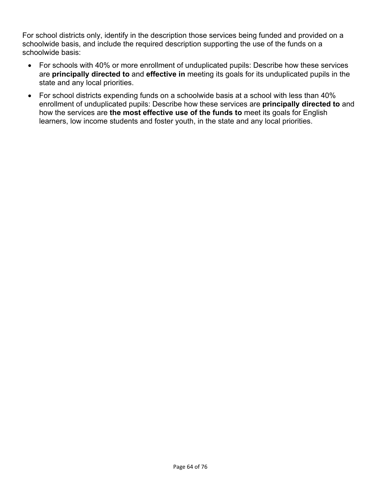For school districts only, identify in the description those services being funded and provided on a schoolwide basis, and include the required description supporting the use of the funds on a schoolwide basis:

- For schools with 40% or more enrollment of unduplicated pupils: Describe how these services are **principally directed to** and **effective in** meeting its goals for its unduplicated pupils in the state and any local priorities.
- For school districts expending funds on a schoolwide basis at a school with less than 40% enrollment of unduplicated pupils: Describe how these services are **principally directed to** and how the services are **the most effective use of the funds to** meet its goals for English learners, low income students and foster youth, in the state and any local priorities.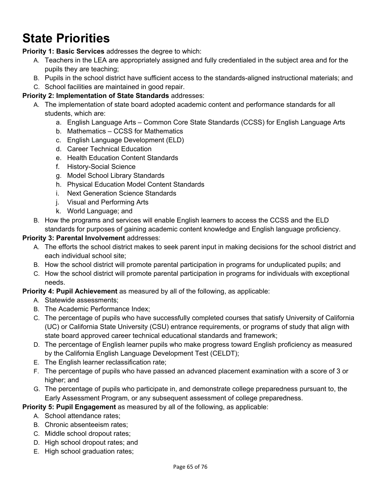# <span id="page-64-0"></span>**State Priorities**

**Priority 1: Basic Services** addresses the degree to which:

- A. Teachers in the LEA are appropriately assigned and fully credentialed in the subject area and for the pupils they are teaching;
- B. Pupils in the school district have sufficient access to the standards-aligned instructional materials; and
- C. School facilities are maintained in good repair.

#### **Priority 2: Implementation of State Standards** addresses:

- A. The implementation of state board adopted academic content and performance standards for all students, which are:
	- a. English Language Arts Common Core State Standards (CCSS) for English Language Arts
	- b. Mathematics CCSS for Mathematics
	- c. English Language Development (ELD)
	- d. Career Technical Education
	- e. Health Education Content Standards
	- f. History-Social Science
	- g. Model School Library Standards
	- h. Physical Education Model Content Standards
	- i. Next Generation Science Standards
	- j. Visual and Performing Arts
	- k. World Language; and
- B. How the programs and services will enable English learners to access the CCSS and the ELD standards for purposes of gaining academic content knowledge and English language proficiency.

### **Priority 3: Parental Involvement** addresses:

- A. The efforts the school district makes to seek parent input in making decisions for the school district and each individual school site;
- B. How the school district will promote parental participation in programs for unduplicated pupils; and
- C. How the school district will promote parental participation in programs for individuals with exceptional needs.

#### **Priority 4: Pupil Achievement** as measured by all of the following, as applicable:

- A. Statewide assessments;
- B. The Academic Performance Index;
- C. The percentage of pupils who have successfully completed courses that satisfy University of California (UC) or California State University (CSU) entrance requirements, or programs of study that align with state board approved career technical educational standards and framework;
- D. The percentage of English learner pupils who make progress toward English proficiency as measured by the California English Language Development Test (CELDT);
- E. The English learner reclassification rate;
- F. The percentage of pupils who have passed an advanced placement examination with a score of 3 or higher; and
- G. The percentage of pupils who participate in, and demonstrate college preparedness pursuant to, the Early Assessment Program, or any subsequent assessment of college preparedness.

### **Priority 5: Pupil Engagement** as measured by all of the following, as applicable:

- A. School attendance rates;
- B. Chronic absenteeism rates;
- C. Middle school dropout rates;
- D. High school dropout rates; and
- E. High school graduation rates;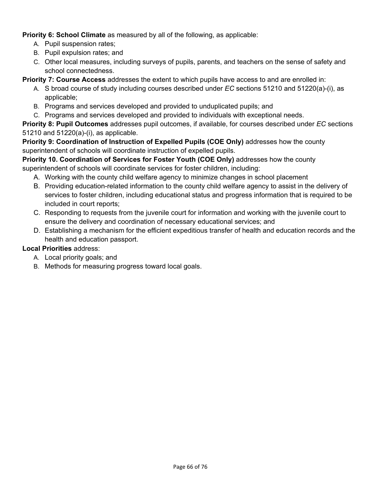**Priority 6: School Climate** as measured by all of the following, as applicable:

- A. Pupil suspension rates;
- B. Pupil expulsion rates; and
- C. Other local measures, including surveys of pupils, parents, and teachers on the sense of safety and school connectedness.

#### **Priority 7: Course Access** addresses the extent to which pupils have access to and are enrolled in:

- A. S broad course of study including courses described under *EC* sections 51210 and 51220(a)-(i), as applicable;
- B. Programs and services developed and provided to unduplicated pupils; and
- C. Programs and services developed and provided to individuals with exceptional needs.

**Priority 8: Pupil Outcomes** addresses pupil outcomes, if available, for courses described under *EC* sections 51210 and 51220(a)-(i), as applicable.

**Priority 9: Coordination of Instruction of Expelled Pupils (COE Only)** addresses how the county superintendent of schools will coordinate instruction of expelled pupils.

**Priority 10. Coordination of Services for Foster Youth (COE Only)** addresses how the county superintendent of schools will coordinate services for foster children, including:

- A. Working with the county child welfare agency to minimize changes in school placement
- B. Providing education-related information to the county child welfare agency to assist in the delivery of services to foster children, including educational status and progress information that is required to be included in court reports;
- C. Responding to requests from the juvenile court for information and working with the juvenile court to ensure the delivery and coordination of necessary educational services; and
- D. Establishing a mechanism for the efficient expeditious transfer of health and education records and the health and education passport.

#### **Local Priorities** address:

- A. Local priority goals; and
- B. Methods for measuring progress toward local goals.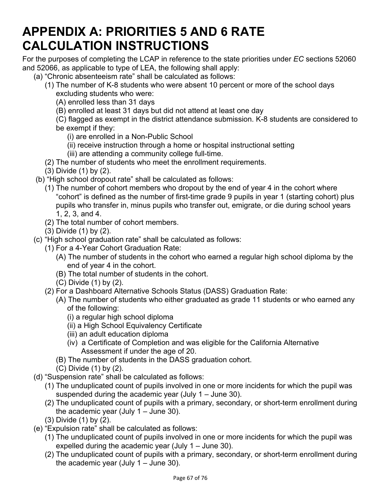# **APPENDIX A: PRIORITIES 5 AND 6 RATE CALCULATION INSTRUCTIONS**

For the purposes of completing the LCAP in reference to the state priorities under *EC* sections 52060 and 52066, as applicable to type of LEA, the following shall apply:

- (a) "Chronic absenteeism rate" shall be calculated as follows:
	- (1) The number of K-8 students who were absent 10 percent or more of the school days excluding students who were:
		- (A) enrolled less than 31 days
		- (B) enrolled at least 31 days but did not attend at least one day
		- (C) flagged as exempt in the district attendance submission. K-8 students are considered to be exempt if they:
			- (i) are enrolled in a Non-Public School
			- (ii) receive instruction through a home or hospital instructional setting
			- (iii) are attending a community college full-time.
	- (2) The number of students who meet the enrollment requirements.
	- (3) Divide (1) by (2).
- (b) "High school dropout rate" shall be calculated as follows:
	- (1) The number of cohort members who dropout by the end of year 4 in the cohort where "cohort" is defined as the number of first-time grade 9 pupils in year 1 (starting cohort) plus pupils who transfer in, minus pupils who transfer out, emigrate, or die during school years 1, 2, 3, and 4.
	- (2) The total number of cohort members.
	- (3) Divide (1) by (2).
- (c) "High school graduation rate" shall be calculated as follows:
	- (1) For a 4-Year Cohort Graduation Rate:
		- (A) The number of students in the cohort who earned a regular high school diploma by the end of year 4 in the cohort.
		- (B) The total number of students in the cohort.
		- (C) Divide (1) by (2).
	- (2) For a Dashboard Alternative Schools Status (DASS) Graduation Rate:
		- (A) The number of students who either graduated as grade 11 students or who earned any of the following:
			- (i) a regular high school diploma
			- (ii) a High School Equivalency Certificate
			- (iii) an adult education diploma
			- (iv) a Certificate of Completion and was eligible for the California Alternative Assessment if under the age of 20.
		- (B) The number of students in the DASS graduation cohort.
		- (C) Divide (1) by (2).
- (d) "Suspension rate" shall be calculated as follows:
	- (1) The unduplicated count of pupils involved in one or more incidents for which the pupil was suspended during the academic year (July 1 – June 30).
	- (2) The unduplicated count of pupils with a primary, secondary, or short-term enrollment during the academic year (July  $1 -$  June 30).
	- (3) Divide (1) by (2).
- (e) "Expulsion rate" shall be calculated as follows:
	- (1) The unduplicated count of pupils involved in one or more incidents for which the pupil was expelled during the academic year (July 1 – June 30).
	- (2) The unduplicated count of pupils with a primary, secondary, or short-term enrollment during the academic year (July  $1 -$  June 30).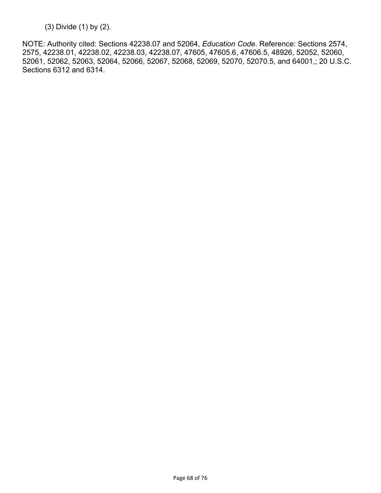(3) Divide (1) by (2).

NOTE: Authority cited: Sections 42238.07 and 52064, *Education Code*. Reference: Sections 2574, 2575, 42238.01, 42238.02, 42238.03, 42238.07, 47605, 47605.6, 47606.5, 48926, 52052, 52060, 52061, 52062, 52063, 52064, 52066, 52067, 52068, 52069, 52070, 52070.5, and 64001,; 20 U.S.C. Sections 6312 and 6314.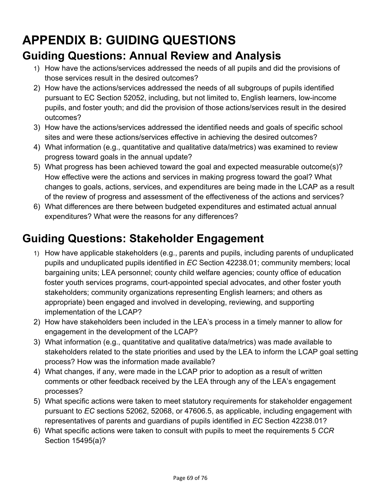# **APPENDIX B: GUIDING QUESTIONS**

## **Guiding Questions: Annual Review and Analysis**

- 1) How have the actions/services addressed the needs of all pupils and did the provisions of those services result in the desired outcomes?
- 2) How have the actions/services addressed the needs of all subgroups of pupils identified pursuant to EC Section 52052, including, but not limited to, English learners, low-income pupils, and foster youth; and did the provision of those actions/services result in the desired outcomes?
- 3) How have the actions/services addressed the identified needs and goals of specific school sites and were these actions/services effective in achieving the desired outcomes?
- 4) What information (e.g., quantitative and qualitative data/metrics) was examined to review progress toward goals in the annual update?
- 5) What progress has been achieved toward the goal and expected measurable outcome(s)? How effective were the actions and services in making progress toward the goal? What changes to goals, actions, services, and expenditures are being made in the LCAP as a result of the review of progress and assessment of the effectiveness of the actions and services?
- 6) What differences are there between budgeted expenditures and estimated actual annual expenditures? What were the reasons for any differences?

# **Guiding Questions: Stakeholder Engagement**

- 1) How have applicable stakeholders (e.g., parents and pupils, including parents of unduplicated pupils and unduplicated pupils identified in *EC* Section 42238.01; community members; local bargaining units; LEA personnel; county child welfare agencies; county office of education foster youth services programs, court-appointed special advocates, and other foster youth stakeholders; community organizations representing English learners; and others as appropriate) been engaged and involved in developing, reviewing, and supporting implementation of the LCAP?
- 2) How have stakeholders been included in the LEA's process in a timely manner to allow for engagement in the development of the LCAP?
- 3) What information (e.g., quantitative and qualitative data/metrics) was made available to stakeholders related to the state priorities and used by the LEA to inform the LCAP goal setting process? How was the information made available?
- 4) What changes, if any, were made in the LCAP prior to adoption as a result of written comments or other feedback received by the LEA through any of the LEA's engagement processes?
- 5) What specific actions were taken to meet statutory requirements for stakeholder engagement pursuant to *EC* sections 52062, 52068, or 47606.5, as applicable, including engagement with representatives of parents and guardians of pupils identified in *EC* Section 42238.01?
- 6) What specific actions were taken to consult with pupils to meet the requirements 5 *CCR* Section 15495(a)?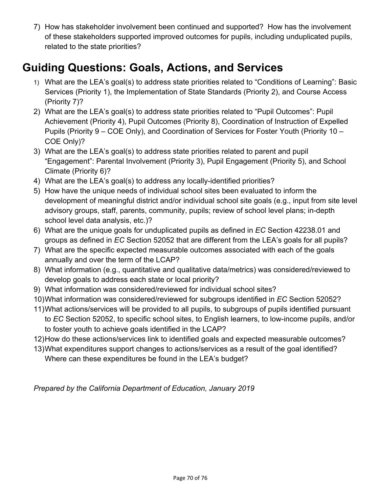7) How has stakeholder involvement been continued and supported? How has the involvement of these stakeholders supported improved outcomes for pupils, including unduplicated pupils, related to the state priorities?

## **Guiding Questions: Goals, Actions, and Services**

- 1) What are the LEA's goal(s) to address state priorities related to "Conditions of Learning": Basic Services (Priority 1), the Implementation of State Standards (Priority 2), and Course Access (Priority 7)?
- 2) What are the LEA's goal(s) to address state priorities related to "Pupil Outcomes": Pupil Achievement (Priority 4), Pupil Outcomes (Priority 8), Coordination of Instruction of Expelled Pupils (Priority 9 – COE Only), and Coordination of Services for Foster Youth (Priority 10 – COE Only)?
- 3) What are the LEA's goal(s) to address state priorities related to parent and pupil "Engagement": Parental Involvement (Priority 3), Pupil Engagement (Priority 5), and School Climate (Priority 6)?
- 4) What are the LEA's goal(s) to address any locally-identified priorities?
- 5) How have the unique needs of individual school sites been evaluated to inform the development of meaningful district and/or individual school site goals (e.g., input from site level advisory groups, staff, parents, community, pupils; review of school level plans; in-depth school level data analysis, etc.)?
- 6) What are the unique goals for unduplicated pupils as defined in *EC* Section 42238.01 and groups as defined in *EC* Section 52052 that are different from the LEA's goals for all pupils?
- 7) What are the specific expected measurable outcomes associated with each of the goals annually and over the term of the LCAP?
- 8) What information (e.g., quantitative and qualitative data/metrics) was considered/reviewed to develop goals to address each state or local priority?
- 9) What information was considered/reviewed for individual school sites?
- 10)What information was considered/reviewed for subgroups identified in *EC* Section 52052?
- 11)What actions/services will be provided to all pupils, to subgroups of pupils identified pursuant to *EC* Section 52052, to specific school sites, to English learners, to low-income pupils, and/or to foster youth to achieve goals identified in the LCAP?
- 12)How do these actions/services link to identified goals and expected measurable outcomes?
- 13)What expenditures support changes to actions/services as a result of the goal identified? Where can these expenditures be found in the LEA's budget?

*Prepared by the California Department of Education, January 2019*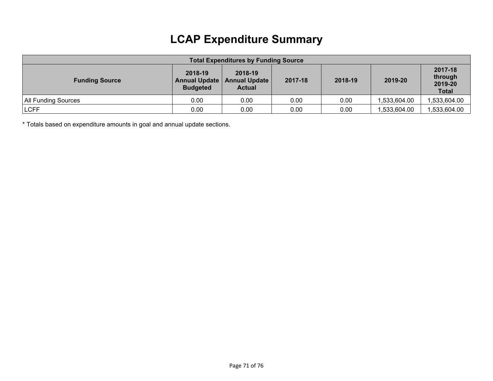# **LCAP Expenditure Summary**

| <b>Total Expenditures by Funding Source</b> |                                             |                                                  |         |         |              |                                               |  |
|---------------------------------------------|---------------------------------------------|--------------------------------------------------|---------|---------|--------------|-----------------------------------------------|--|
| <b>Funding Source</b>                       | 2018-19<br>Annual Update<br><b>Budgeted</b> | 2018-19<br><b>Annual Update</b><br><b>Actual</b> | 2017-18 | 2018-19 | 2019-20      | 2017-18<br>through<br>2019-20<br><b>Total</b> |  |
| All Funding Sources                         | 0.00                                        | $0.00\,$                                         | 0.00    | 0.00    | 1,533,604.00 | ,533,604.00                                   |  |
| <b>LCFF</b>                                 | 0.00                                        | $0.00\,$                                         | 0.00    | 0.00    | 1,533,604.00 | ,533,604.00                                   |  |

\* Totals based on expenditure amounts in goal and annual update sections.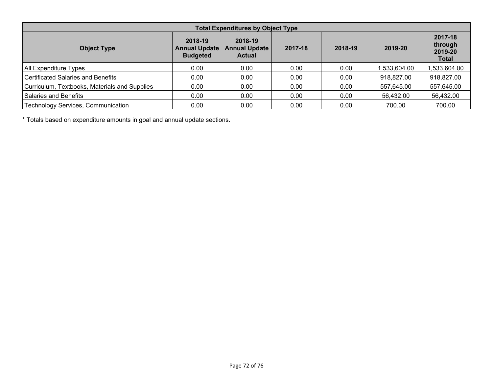| <b>Total Expenditures by Object Type</b>      |                                                    |                                                  |         |         |             |                                               |  |
|-----------------------------------------------|----------------------------------------------------|--------------------------------------------------|---------|---------|-------------|-----------------------------------------------|--|
| <b>Object Type</b>                            | 2018-19<br><b>Annual Update</b><br><b>Budgeted</b> | 2018-19<br><b>Annual Update</b><br><b>Actual</b> | 2017-18 | 2018-19 | 2019-20     | 2017-18<br>through<br>2019-20<br><b>Total</b> |  |
| All Expenditure Types                         | 0.00                                               | 0.00                                             | 0.00    | 0.00    | .533,604.00 | ,533,604.00                                   |  |
| <b>Certificated Salaries and Benefits</b>     | 0.00                                               | 0.00                                             | 0.00    | 0.00    | 918,827.00  | 918,827.00                                    |  |
| Curriculum, Textbooks, Materials and Supplies | 0.00                                               | 0.00                                             | 0.00    | 0.00    | 557,645.00  | 557,645.00                                    |  |
| Salaries and Benefits                         | 0.00                                               | 0.00                                             | 0.00    | 0.00    | 56,432.00   | 56,432.00                                     |  |
| <b>Technology Services, Communication</b>     | 0.00                                               | 0.00                                             | 0.00    | 0.00    | 700.00      | 700.00                                        |  |

\* Totals based on expenditure amounts in goal and annual update sections.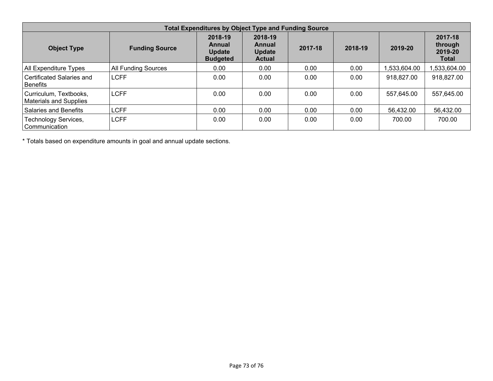| <b>Total Expenditures by Object Type and Funding Source</b> |                            |                                                       |                                                     |         |         |             |                                               |  |
|-------------------------------------------------------------|----------------------------|-------------------------------------------------------|-----------------------------------------------------|---------|---------|-------------|-----------------------------------------------|--|
| <b>Object Type</b>                                          | <b>Funding Source</b>      | 2018-19<br>Annual<br><b>Update</b><br><b>Budgeted</b> | 2018-19<br>Annual<br><b>Update</b><br><b>Actual</b> | 2017-18 | 2018-19 | 2019-20     | 2017-18<br>through<br>2019-20<br><b>Total</b> |  |
| All Expenditure Types                                       | <b>All Funding Sources</b> | 0.00                                                  | 0.00                                                | 0.00    | 0.00    | .533.604.00 | .533,604.00                                   |  |
| Certificated Salaries and<br><b>Benefits</b>                | <b>LCFF</b>                | 0.00                                                  | 0.00                                                | 0.00    | 0.00    | 918,827.00  | 918,827.00                                    |  |
| Curriculum, Textbooks,<br><b>Materials and Supplies</b>     | <b>LCFF</b>                | 0.00                                                  | 0.00                                                | 0.00    | 0.00    | 557,645.00  | 557,645.00                                    |  |
| Salaries and Benefits                                       | <b>LCFF</b>                | 0.00                                                  | 0.00                                                | 0.00    | 0.00    | 56,432.00   | 56,432.00                                     |  |
| <b>Technology Services,</b><br>Communication                | <b>LCFF</b>                | 0.00                                                  | 0.00                                                | 0.00    | 0.00    | 700.00      | 700.00                                        |  |

\* Totals based on expenditure amounts in goal and annual update sections.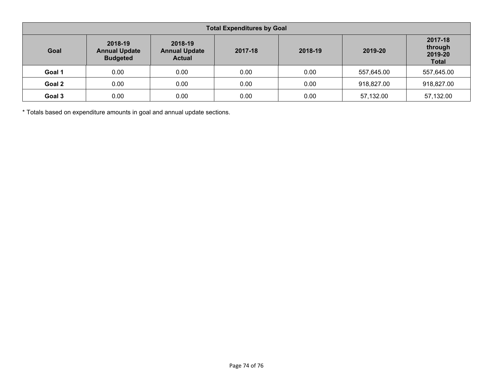| <b>Total Expenditures by Goal</b> |                                                    |                                                             |      |         |            |                                               |  |  |
|-----------------------------------|----------------------------------------------------|-------------------------------------------------------------|------|---------|------------|-----------------------------------------------|--|--|
| Goal                              | 2018-19<br><b>Annual Update</b><br><b>Budgeted</b> | 2018-19<br>2017-18<br><b>Annual Update</b><br><b>Actual</b> |      | 2018-19 | 2019-20    | 2017-18<br>through<br>2019-20<br><b>Total</b> |  |  |
| Goal 1                            | 0.00                                               | 0.00                                                        | 0.00 | 0.00    | 557,645.00 | 557,645.00                                    |  |  |
| Goal 2                            | 0.00                                               | 0.00                                                        | 0.00 | 0.00    | 918,827.00 | 918,827.00                                    |  |  |
| Goal 3                            | 0.00                                               | 0.00                                                        | 0.00 | 0.00    | 57,132.00  | 57,132.00                                     |  |  |

\* Totals based on expenditure amounts in goal and annual update sections.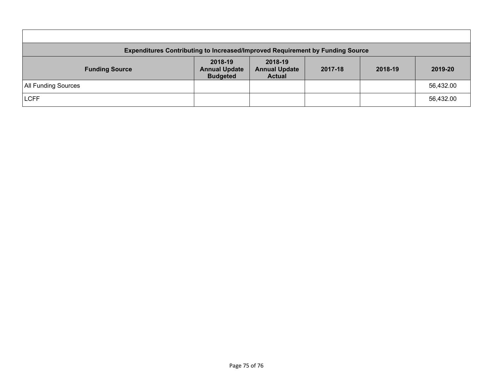| <b>Expenditures Contributing to Increased/Improved Requirement by Funding Source</b> |                                                    |                                                  |         |         |           |  |
|--------------------------------------------------------------------------------------|----------------------------------------------------|--------------------------------------------------|---------|---------|-----------|--|
| <b>Funding Source</b>                                                                | 2018-19<br><b>Annual Update</b><br><b>Budgeted</b> | 2018-19<br><b>Annual Update</b><br><b>Actual</b> | 2017-18 | 2018-19 | 2019-20   |  |
| <b>All Funding Sources</b>                                                           |                                                    |                                                  |         |         | 56,432.00 |  |
| <b>LCFF</b>                                                                          |                                                    |                                                  |         |         | 56,432.00 |  |